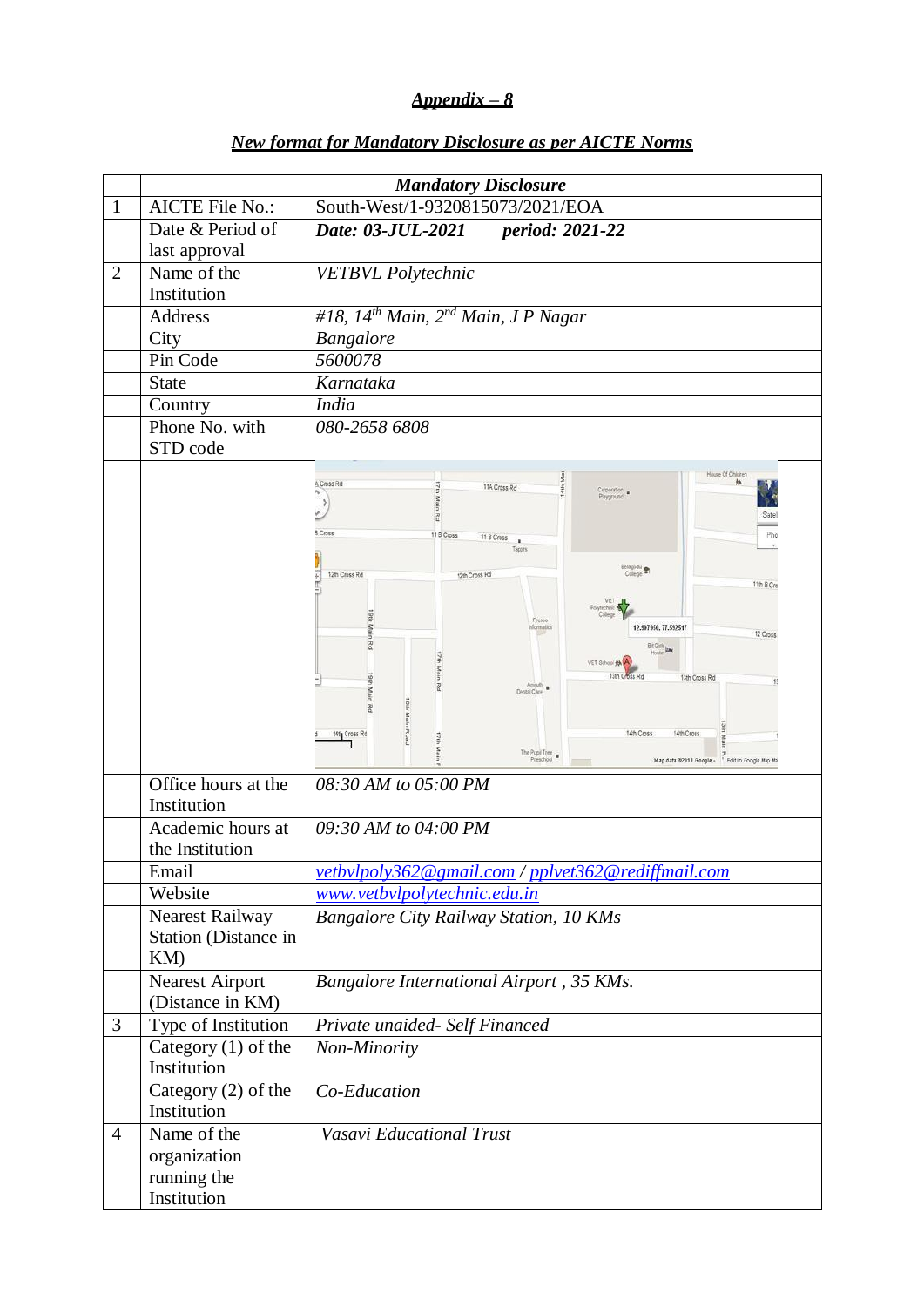# *Appendix – 8*

|                | <b>Mandatory Disclosure</b>                                  |                                                                                                                                                                                                                                                                                                                                                                                                                                                                                                                                                                                           |  |  |
|----------------|--------------------------------------------------------------|-------------------------------------------------------------------------------------------------------------------------------------------------------------------------------------------------------------------------------------------------------------------------------------------------------------------------------------------------------------------------------------------------------------------------------------------------------------------------------------------------------------------------------------------------------------------------------------------|--|--|
| 1              | <b>AICTE File No.:</b>                                       | South-West/1-9320815073/2021/EOA                                                                                                                                                                                                                                                                                                                                                                                                                                                                                                                                                          |  |  |
|                | Date & Period of<br>last approval                            | Date: 03-JUL-2021<br>period: 2021-22                                                                                                                                                                                                                                                                                                                                                                                                                                                                                                                                                      |  |  |
| $\overline{2}$ | Name of the<br>Institution                                   | <b>VETBVL</b> Polytechnic                                                                                                                                                                                                                                                                                                                                                                                                                                                                                                                                                                 |  |  |
|                | Address                                                      | #18, 14 <sup>th</sup> Main, 2 <sup>nd</sup> Main, J P Nagar                                                                                                                                                                                                                                                                                                                                                                                                                                                                                                                               |  |  |
|                | City                                                         | <b>Bangalore</b>                                                                                                                                                                                                                                                                                                                                                                                                                                                                                                                                                                          |  |  |
|                | Pin Code                                                     | 5600078                                                                                                                                                                                                                                                                                                                                                                                                                                                                                                                                                                                   |  |  |
|                | <b>State</b>                                                 | Karnataka                                                                                                                                                                                                                                                                                                                                                                                                                                                                                                                                                                                 |  |  |
|                | Country                                                      | <b>India</b>                                                                                                                                                                                                                                                                                                                                                                                                                                                                                                                                                                              |  |  |
|                | Phone No. with<br>STD code                                   | 080-2658 6808                                                                                                                                                                                                                                                                                                                                                                                                                                                                                                                                                                             |  |  |
|                |                                                              | House Of Children<br>ž<br>A Cross Rd<br>11A Cross Rd<br>ę<br>Corporation<br>Playground<br>e pu<br>٥<br>Sate<br>R<br>3 Cross<br>Pho<br>11 B Cross<br>11 B Cross<br>٠<br>Tappes<br>Belagodu<br>12th Cross Rd<br>12th Cross Rd<br>11th B Cro<br>VET<br>Fresco<br>12.907950, 77.592517<br>Informatics<br>12 Cross<br>Bit Girls La<br>VET School A<br>13th Cross Rd<br>13th Cross Rd<br>12<br>Amruth<br>Dental Care<br>Main<br>Road<br>14th Cross<br>14th Cross Rd<br>14th Cross<br>$\frac{1}{2}$<br>The Pupil Tree<br>Preschool<br>Map data 02011 Google - <sup>1</sup> Edit in Google Map Ma |  |  |
|                | Office hours at the<br>Institution                           | 08:30 AM to 05:00 PM                                                                                                                                                                                                                                                                                                                                                                                                                                                                                                                                                                      |  |  |
|                | Academic hours at<br>the Institution                         | 09:30 AM to 04:00 PM                                                                                                                                                                                                                                                                                                                                                                                                                                                                                                                                                                      |  |  |
|                | Email                                                        | vetbvlpoly362@gmail.com / pplvet362@rediffmail.com                                                                                                                                                                                                                                                                                                                                                                                                                                                                                                                                        |  |  |
|                | Website                                                      | www.vetbvlpolytechnic.edu.in                                                                                                                                                                                                                                                                                                                                                                                                                                                                                                                                                              |  |  |
|                | <b>Nearest Railway</b><br><b>Station</b> (Distance in<br>KM) | <b>Bangalore City Railway Station, 10 KMs</b>                                                                                                                                                                                                                                                                                                                                                                                                                                                                                                                                             |  |  |
|                | <b>Nearest Airport</b><br>(Distance in KM)                   | Bangalore International Airport, 35 KMs.                                                                                                                                                                                                                                                                                                                                                                                                                                                                                                                                                  |  |  |
| 3              | Type of Institution                                          | Private unaided- Self Financed                                                                                                                                                                                                                                                                                                                                                                                                                                                                                                                                                            |  |  |
|                | Category $(1)$ of the<br>Institution                         | Non-Minority                                                                                                                                                                                                                                                                                                                                                                                                                                                                                                                                                                              |  |  |
|                | Category (2) of the<br>Institution                           | Co-Education                                                                                                                                                                                                                                                                                                                                                                                                                                                                                                                                                                              |  |  |
| 4              | Name of the<br>organization<br>running the<br>Institution    | Vasavi Educational Trust                                                                                                                                                                                                                                                                                                                                                                                                                                                                                                                                                                  |  |  |

### *New format for Mandatory Disclosure as per AICTE Norms*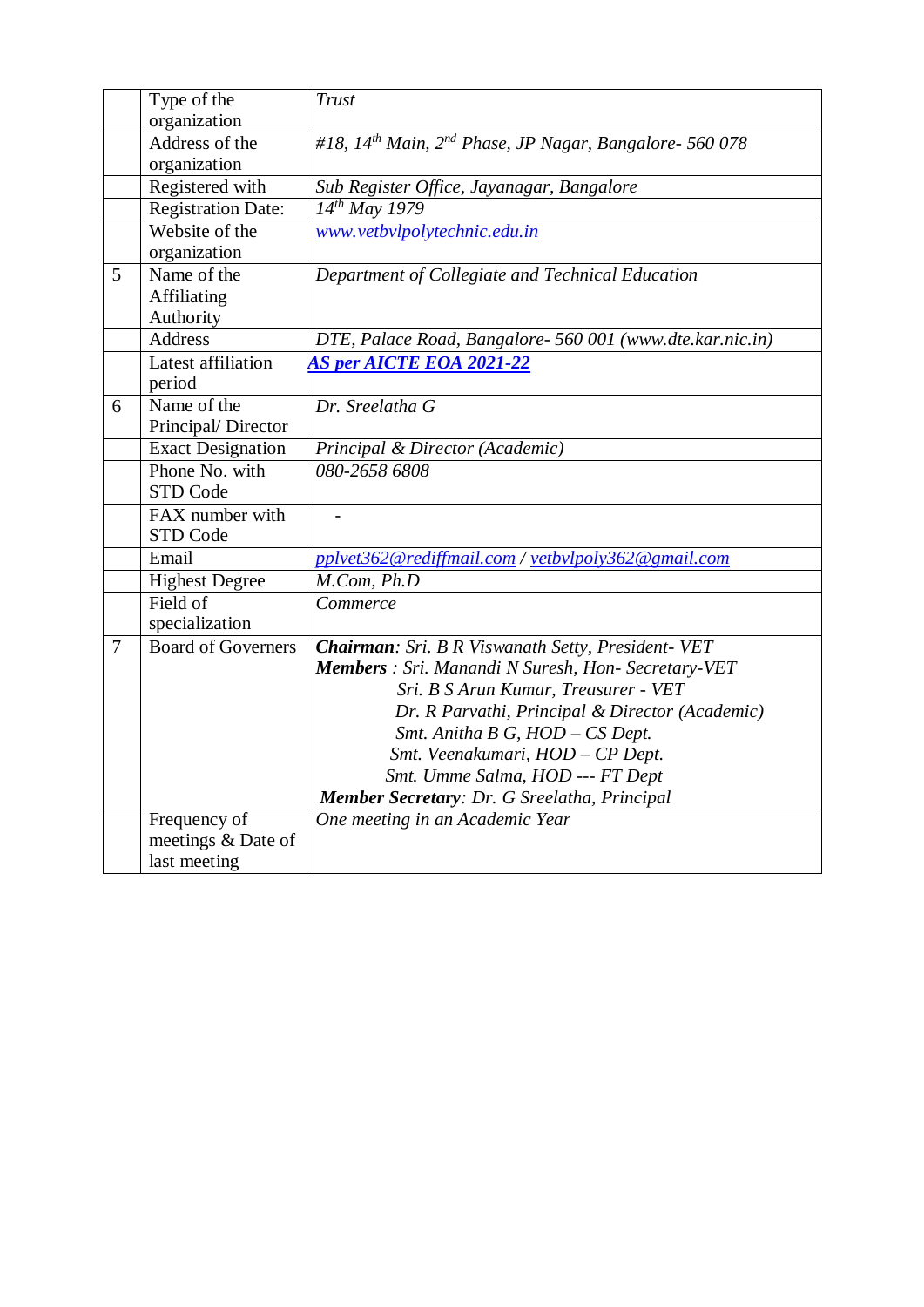|        | Type of the               | <b>Trust</b>                                                      |
|--------|---------------------------|-------------------------------------------------------------------|
|        | organization              |                                                                   |
|        | Address of the            | #18, $14^{th}$ Main, $2^{nd}$ Phase, JP Nagar, Bangalore- 560 078 |
|        | organization              |                                                                   |
|        | Registered with           | Sub Register Office, Jayanagar, Bangalore                         |
|        | Registration Date:        | $14^{th}$ May 1979                                                |
|        | Website of the            | www.vetbvlpolytechnic.edu.in                                      |
|        | organization              |                                                                   |
| 5      | Name of the               | Department of Collegiate and Technical Education                  |
|        | <b>Affiliating</b>        |                                                                   |
|        | Authority                 |                                                                   |
|        | <b>Address</b>            | DTE, Palace Road, Bangalore- 560 001 (www.dte.kar.nic.in)         |
|        | Latest affiliation        | <b>AS per AICTE EOA 2021-22</b>                                   |
|        | period                    |                                                                   |
| 6      | Name of the               | Dr. Sreelatha G                                                   |
|        | Principal/Director        |                                                                   |
|        | <b>Exact Designation</b>  | Principal & Director (Academic)                                   |
|        | Phone No. with            | 080-2658 6808                                                     |
|        | STD Code                  |                                                                   |
|        | FAX number with           |                                                                   |
|        | STD Code                  |                                                                   |
|        | Email                     | pplvet362@rediffmail.com / yetbylpoly362@gmail.com                |
|        | <b>Highest Degree</b>     | M.Com, Ph.D                                                       |
|        | Field of                  | Commerce                                                          |
|        | specialization            |                                                                   |
| $\tau$ | <b>Board of Governers</b> | Chairman: Sri. B R Viswanath Setty, President- VET                |
|        |                           | Members : Sri. Manandi N Suresh, Hon- Secretary-VET               |
|        |                           | Sri. B S Arun Kumar, Treasurer - VET                              |
|        |                           | Dr. R Parvathi, Principal & Director (Academic)                   |
|        |                           | Smt. Anitha B G, HOD - CS Dept.                                   |
|        |                           | Smt. Veenakumari, HOD - CP Dept.                                  |
|        |                           | Smt. Umme Salma, HOD --- FT Dept                                  |
|        |                           | Member Secretary: Dr. G Sreelatha, Principal                      |
|        | Frequency of              | One meeting in an Academic Year                                   |
|        | meetings & Date of        |                                                                   |
|        | last meeting              |                                                                   |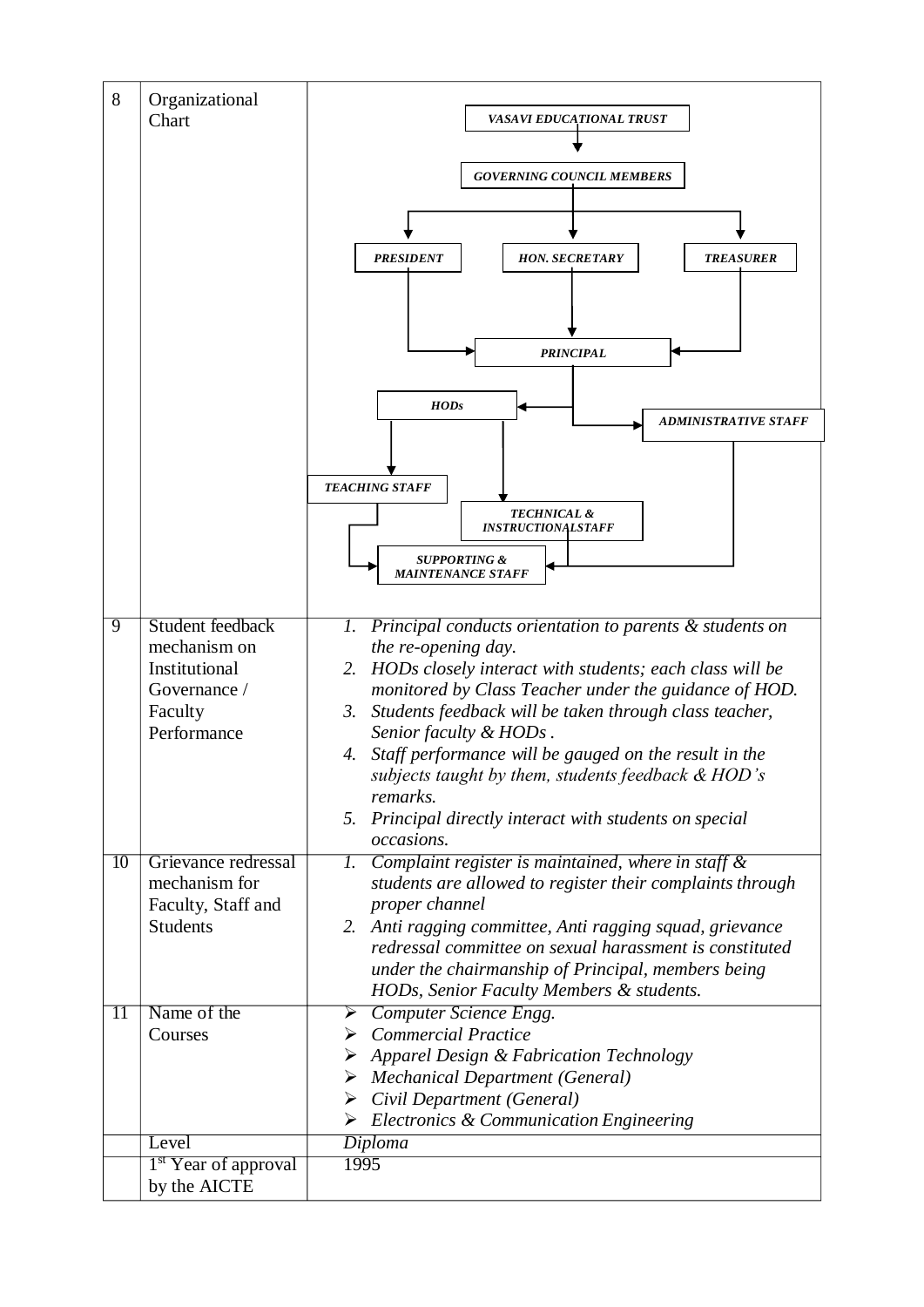| 8               | Organizational<br>Chart                                                                            | VASAVI EDUCATIONAL TRUST<br><b>GOVERNING COUNCIL MEMBERS</b><br><b>PRESIDENT</b><br><b>HON. SECRETARY</b><br><b>TREASURER</b><br><b>PRINCIPAL</b><br>HODs                                                                                                                                                                                                                                                                                                                                                                |
|-----------------|----------------------------------------------------------------------------------------------------|--------------------------------------------------------------------------------------------------------------------------------------------------------------------------------------------------------------------------------------------------------------------------------------------------------------------------------------------------------------------------------------------------------------------------------------------------------------------------------------------------------------------------|
|                 |                                                                                                    | <b>ADMINISTRATIVE STAFF</b>                                                                                                                                                                                                                                                                                                                                                                                                                                                                                              |
|                 |                                                                                                    | <b>TEACHING STAFF</b>                                                                                                                                                                                                                                                                                                                                                                                                                                                                                                    |
|                 |                                                                                                    | <b>TECHNICAL &amp;</b><br><b>INSTRUCTIONALSTAFF</b>                                                                                                                                                                                                                                                                                                                                                                                                                                                                      |
|                 |                                                                                                    | <b>SUPPORTING &amp;</b><br><i>MAINTENANCE STAFF</i>                                                                                                                                                                                                                                                                                                                                                                                                                                                                      |
| $\overline{9}$  | <b>Student feedback</b><br>mechanism on<br>Institutional<br>Governance /<br>Faculty<br>Performance | Principal conducts orientation to parents & students on<br>1.<br>the re-opening day.<br>HODs closely interact with students; each class will be<br>2.<br>monitored by Class Teacher under the guidance of HOD.<br>3.<br>Students feedback will be taken through class teacher,<br>Senior faculty & HODs.<br>Staff performance will be gauged on the result in the<br>4.<br>subjects taught by them, students feedback $\&$ HOD's<br>remarks.<br>Principal directly interact with students on special<br>5.<br>occasions. |
| 10              | Grievance redressal                                                                                | Complaint register is maintained, where in staff $\&$<br>Ι.                                                                                                                                                                                                                                                                                                                                                                                                                                                              |
|                 | mechanism for<br>Faculty, Staff and<br><b>Students</b>                                             | students are allowed to register their complaints through<br>proper channel<br>Anti ragging committee, Anti ragging squad, grievance<br>2.<br>redressal committee on sexual harassment is constituted<br>under the chairmanship of Principal, members being<br>HODs, Senior Faculty Members & students.                                                                                                                                                                                                                  |
| $\overline{11}$ | Name of the<br>Courses                                                                             | Computer Science Engg.<br>➤<br>$\triangleright$ Commercial Practice                                                                                                                                                                                                                                                                                                                                                                                                                                                      |
|                 |                                                                                                    | $\triangleright$ Apparel Design & Fabrication Technology<br>$\triangleright$ Mechanical Department (General)<br>Civil Department (General)<br>➤<br>$\triangleright$ Electronics & Communication Engineering                                                                                                                                                                                                                                                                                                              |
|                 | Level                                                                                              | <b>Diploma</b>                                                                                                                                                                                                                                                                                                                                                                                                                                                                                                           |
|                 | <sup>1st</sup> Year of approval<br>by the AICTE                                                    | 1995                                                                                                                                                                                                                                                                                                                                                                                                                                                                                                                     |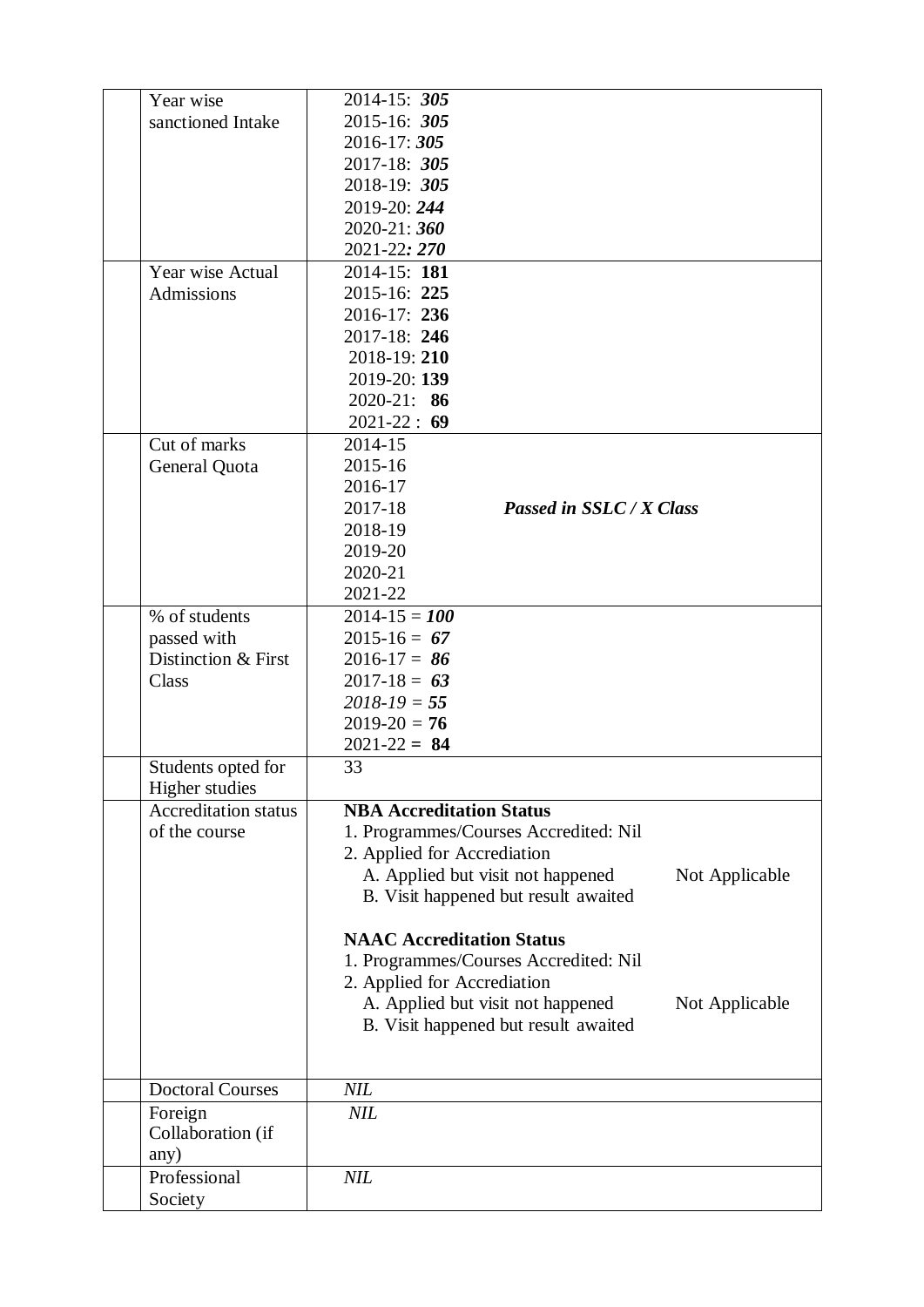| Year wise               |                             | 2014-15: 305                                        |  |
|-------------------------|-----------------------------|-----------------------------------------------------|--|
| sanctioned Intake       |                             | 2015-16: 305                                        |  |
|                         |                             | 2016-17: 305                                        |  |
|                         |                             | 2017-18: 305                                        |  |
|                         |                             | 2018-19: 305                                        |  |
|                         |                             | 2019-20: 244                                        |  |
|                         |                             | 2020-21:360                                         |  |
|                         |                             | 2021-22: 270                                        |  |
| Year wise Actual        |                             | 2014-15: 181                                        |  |
| Admissions              |                             | 2015-16: 225                                        |  |
|                         |                             | 2016-17: 236                                        |  |
|                         |                             | 2017-18: 246                                        |  |
|                         |                             | 2018-19:210                                         |  |
|                         |                             | 2019-20: 139                                        |  |
|                         |                             | $2020 - 21: 86$                                     |  |
|                         |                             | $2021 - 22 : 69$                                    |  |
| Cut of marks            |                             | 2014-15                                             |  |
| General Quota           |                             | 2015-16                                             |  |
|                         |                             | 2016-17                                             |  |
|                         |                             | 2017-18<br>Passed in SSLC / X Class                 |  |
|                         |                             | 2018-19                                             |  |
|                         |                             | 2019-20                                             |  |
|                         |                             | 2020-21                                             |  |
|                         |                             | 2021-22                                             |  |
|                         |                             |                                                     |  |
| % of students           |                             | $2014 - 15 = 100$                                   |  |
| passed with             |                             | $2015 - 16 = 67$                                    |  |
|                         | Distinction & First         | $2016 - 17 = 86$                                    |  |
| Class                   |                             | $2017 - 18 = 63$                                    |  |
|                         |                             | $2018 - 19 = 55$                                    |  |
|                         |                             | $2019-20 = 76$                                      |  |
|                         |                             | $2021 - 22 = 84$                                    |  |
|                         | Students opted for          | 33                                                  |  |
| Higher studies          | <b>Accreditation status</b> | <b>NBA Accreditation Status</b>                     |  |
| of the course           |                             |                                                     |  |
|                         |                             | 1. Programmes/Courses Accredited: Nil               |  |
|                         |                             | 2. Applied for Accrediation                         |  |
|                         |                             | A. Applied but visit not happened<br>Not Applicable |  |
|                         |                             | B. Visit happened but result awaited                |  |
|                         |                             |                                                     |  |
|                         |                             | <b>NAAC Accreditation Status</b>                    |  |
|                         |                             | 1. Programmes/Courses Accredited: Nil               |  |
|                         |                             | 2. Applied for Accrediation                         |  |
|                         |                             | A. Applied but visit not happened<br>Not Applicable |  |
|                         |                             | B. Visit happened but result awaited                |  |
|                         |                             |                                                     |  |
|                         |                             |                                                     |  |
| <b>Doctoral Courses</b> |                             | <b>NIL</b>                                          |  |
| Foreign                 |                             | <b>NIL</b>                                          |  |
| Collaboration (if       |                             |                                                     |  |
| any)                    |                             |                                                     |  |
| Professional            |                             | <b>NIL</b>                                          |  |
| Society                 |                             |                                                     |  |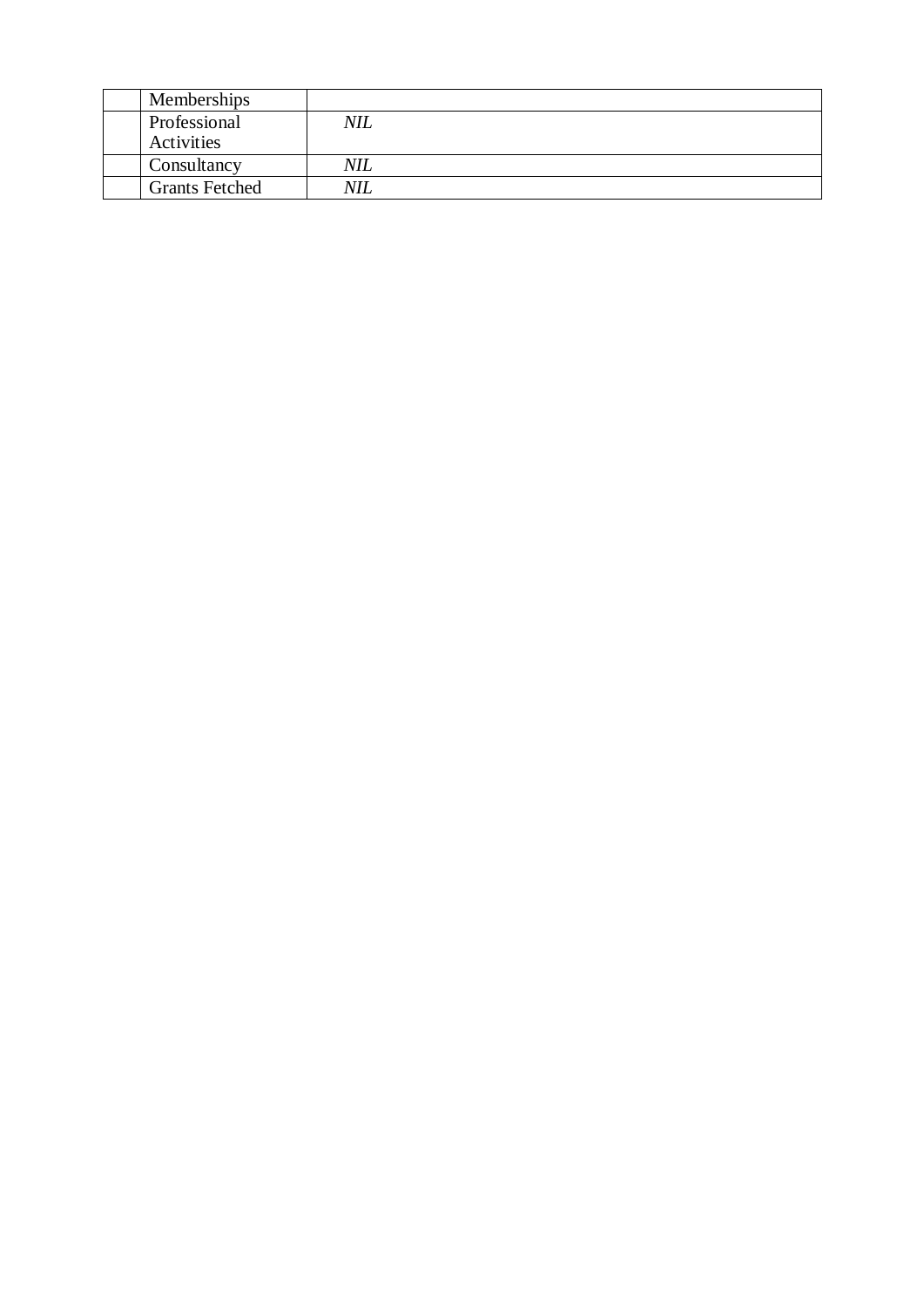| Memberships           |            |
|-----------------------|------------|
| Professional          | <b>NIL</b> |
| Activities            |            |
| Consultancy           | <b>NIL</b> |
| <b>Grants Fetched</b> | NIL        |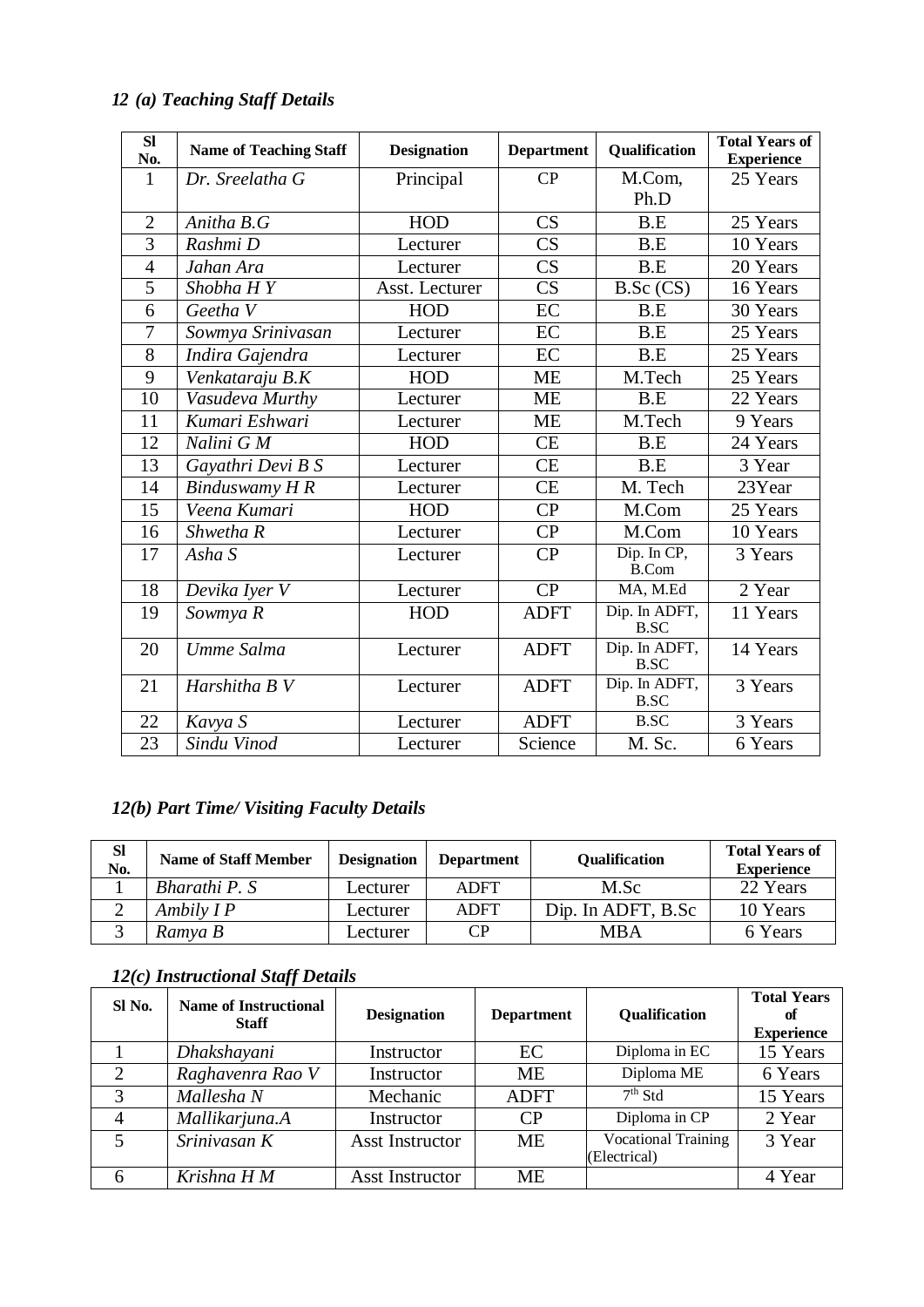# *12 (a) Teaching Staff Details*

| SI<br>No.      | <b>Name of Teaching Staff</b> | <b>Designation</b> | <b>Department</b>      | Qualification                | <b>Total Years of</b><br><b>Experience</b> |
|----------------|-------------------------------|--------------------|------------------------|------------------------------|--------------------------------------------|
| $\mathbf{1}$   | Dr. Sreelatha G               | Principal          | CP                     | M.Com,                       | 25 Years                                   |
|                |                               |                    |                        | Ph.D                         |                                            |
| $\overline{2}$ | Anitha B.G                    | HOD                | CS                     | B.E                          | 25 Years                                   |
| $\overline{3}$ | Rashmi D                      | Lecturer           | CS                     | B.E                          | 10 Years                                   |
| $\overline{4}$ | Jahan Ara                     | Lecturer           | $\overline{\text{CS}}$ | B.E                          | 20 Years                                   |
| $\overline{5}$ | Shobha HY                     | Asst. Lecturer     | $\overline{\text{CS}}$ | B.Sc(CS)                     | 16 Years                                   |
| 6              | Geetha V                      | HOD                | EC                     | B.E                          | 30 Years                                   |
| 7              | Sowmya Srinivasan             | Lecturer           | EC                     | B.E                          | 25 Years                                   |
| 8              | Indira Gajendra               | Lecturer           | EC                     | B.E                          | 25 Years                                   |
| 9              | Venkataraju B.K               | HOD                | <b>ME</b>              | M.Tech                       | 25 Years                                   |
| 10             | Vasudeva Murthy               | Lecturer           | <b>ME</b>              | B.E                          | 22 Years                                   |
| 11             | Kumari Eshwari                | Lecturer           | <b>ME</b>              | M.Tech                       | 9 Years                                    |
| 12             | Nalini G M                    | <b>HOD</b>         | CE                     | B.E                          | 24 Years                                   |
| 13             | Gayathri Devi B S             | Lecturer           | <b>CE</b>              | B.E                          | 3 Year                                     |
| 14             | <b>Binduswamy H R</b>         | Lecturer           | <b>CE</b>              | M. Tech                      | 23Year                                     |
| 15             | Veena Kumari                  | <b>HOD</b>         | CP                     | M.Com                        | 25 Years                                   |
| 16             | Shwetha R                     | Lecturer           | $\overline{CP}$        | M.Com                        | 10 Years                                   |
| 17             | Asha S                        | Lecturer           | CP                     | Dip. In CP,<br><b>B.Com</b>  | 3 Years                                    |
| 18             | Devika Iyer V                 | Lecturer           | CP                     | MA, M.Ed                     | 2 Year                                     |
| 19             | Sowmya R                      | HOD                | <b>ADFT</b>            | Dip. In ADFT,<br><b>B.SC</b> | 11 Years                                   |
| 20             | Umme Salma                    | Lecturer           | <b>ADFT</b>            | Dip. In ADFT,<br>B.SC        | 14 Years                                   |
| 21             | Harshitha B V                 | Lecturer           | <b>ADFT</b>            | Dip. In ADFT,<br><b>B.SC</b> | 3 Years                                    |
| 22             | Kavya S                       | Lecturer           | <b>ADFT</b>            | <b>B.SC</b>                  | 3 Years                                    |
| 23             | Sindu Vinod                   | Lecturer           | Science                | M. Sc.                       | 6 Years                                    |

### *12(b) Part Time/ Visiting Faculty Details*

| <b>SI</b><br>No. | <b>Name of Staff Member</b> | <b>Designation</b> | <b>Department</b> | <b>Qualification</b> | <b>Total Years of</b><br><b>Experience</b> |
|------------------|-----------------------------|--------------------|-------------------|----------------------|--------------------------------------------|
|                  | Bharathi P. S               | Lecturer           | <b>ADFT</b>       | M.Sc                 | 22 Years                                   |
|                  | Ambily $IP$                 | Lecturer           | <b>ADFT</b>       | Dip. In ADFT, B.Sc   | 10 Years                                   |
|                  | Ramya B                     | _ecturer           | CР                | MBA                  | 6 Years                                    |

### *12(c) Instructional Staff Details*

| SI No.         | <b>Name of Instructional</b><br><b>Staff</b> | <b>Designation</b>     | <b>Department</b>      | Qualification                              | <b>Total Years</b><br>оf<br><b>Experience</b> |
|----------------|----------------------------------------------|------------------------|------------------------|--------------------------------------------|-----------------------------------------------|
|                | Dhakshayani                                  | Instructor             | EC                     | Diploma in EC                              | 15 Years                                      |
| 2              | Raghavenra Rao V                             | Instructor             | <b>ME</b>              | Diploma ME                                 | 6 Years                                       |
| 3              | Mallesha N                                   | Mechanic               | <b>ADFT</b>            | $7th$ Std                                  | 15 Years                                      |
| $\overline{4}$ | Mallikarjuna.A                               | Instructor             | $\overline{\text{CP}}$ | Diploma in CP                              | 2 Year                                        |
| 5              | Srinivasan K                                 | <b>Asst Instructor</b> | <b>ME</b>              | <b>Vocational Training</b><br>(Electrical) | 3 Year                                        |
| 6              | Krishna H M                                  | <b>Asst Instructor</b> | МE                     |                                            | 4 Year                                        |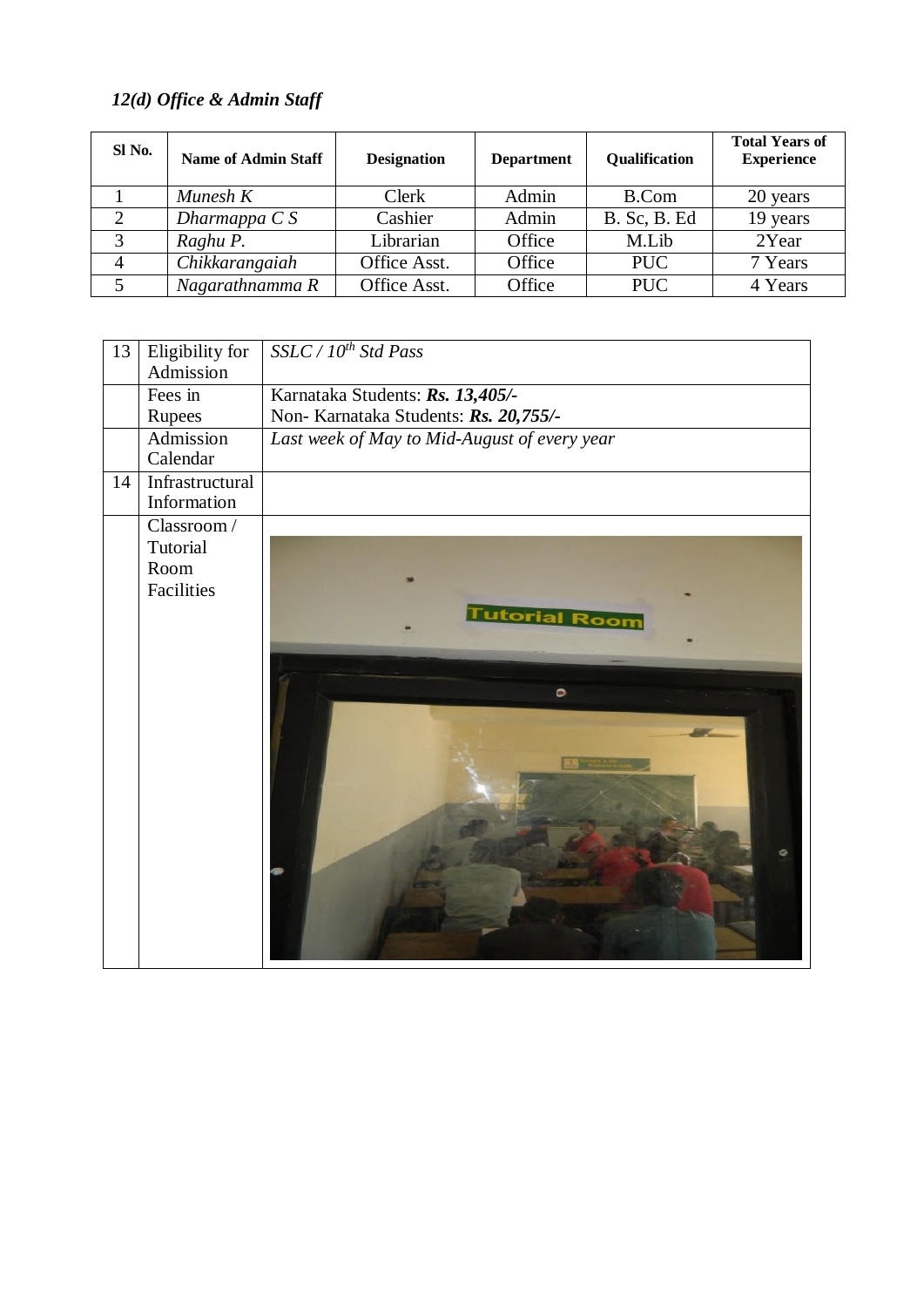# *12(d) Office & Admin Staff*

| SI No.         | <b>Name of Admin Staff</b> | <b>Designation</b> | <b>Department</b> | Qualification       | <b>Total Years of</b><br><b>Experience</b> |
|----------------|----------------------------|--------------------|-------------------|---------------------|--------------------------------------------|
|                | Munesh $K$                 | <b>Clerk</b>       | Admin             | B.Com               | 20 years                                   |
| $\overline{2}$ | Dharmappa $C S$            | Cashier            | Admin             | <b>B.</b> Sc, B. Ed | 19 years                                   |
| 3              | Raghu P.                   | Librarian          | Office            | M.Lib               | 2Year                                      |
| $\overline{4}$ | Chikkarangaiah             | Office Asst.       | Office            | <b>PUC</b>          | 7 Years                                    |
| 5              | Nagarathnamma R            | Office Asst.       | Office            | <b>PUC</b>          | 4 Years                                    |

| 13 | Eligibility for<br>Admission | SSLC / 10 <sup>th</sup> Std Pass             |
|----|------------------------------|----------------------------------------------|
|    | Fees in                      | Karnataka Students: Rs. 13,405/-             |
|    | <b>Rupees</b>                | Non-Karnataka Students: Rs. 20,755/-         |
|    | Admission                    | Last week of May to Mid-August of every year |
|    | Calendar                     |                                              |
| 14 | Infrastructural              |                                              |
|    | Information                  |                                              |
|    | Classroom /                  |                                              |
|    | Tutorial                     |                                              |
|    | Room                         |                                              |
|    | Facilities                   |                                              |
|    |                              | <b>Tutorial Room</b>                         |
|    |                              |                                              |
|    |                              |                                              |
|    |                              | $\bullet$                                    |
|    |                              |                                              |
|    |                              |                                              |
|    |                              |                                              |
|    |                              |                                              |
|    |                              |                                              |
|    |                              |                                              |
|    |                              |                                              |
|    |                              |                                              |
|    |                              |                                              |
|    |                              |                                              |
|    |                              |                                              |
|    |                              |                                              |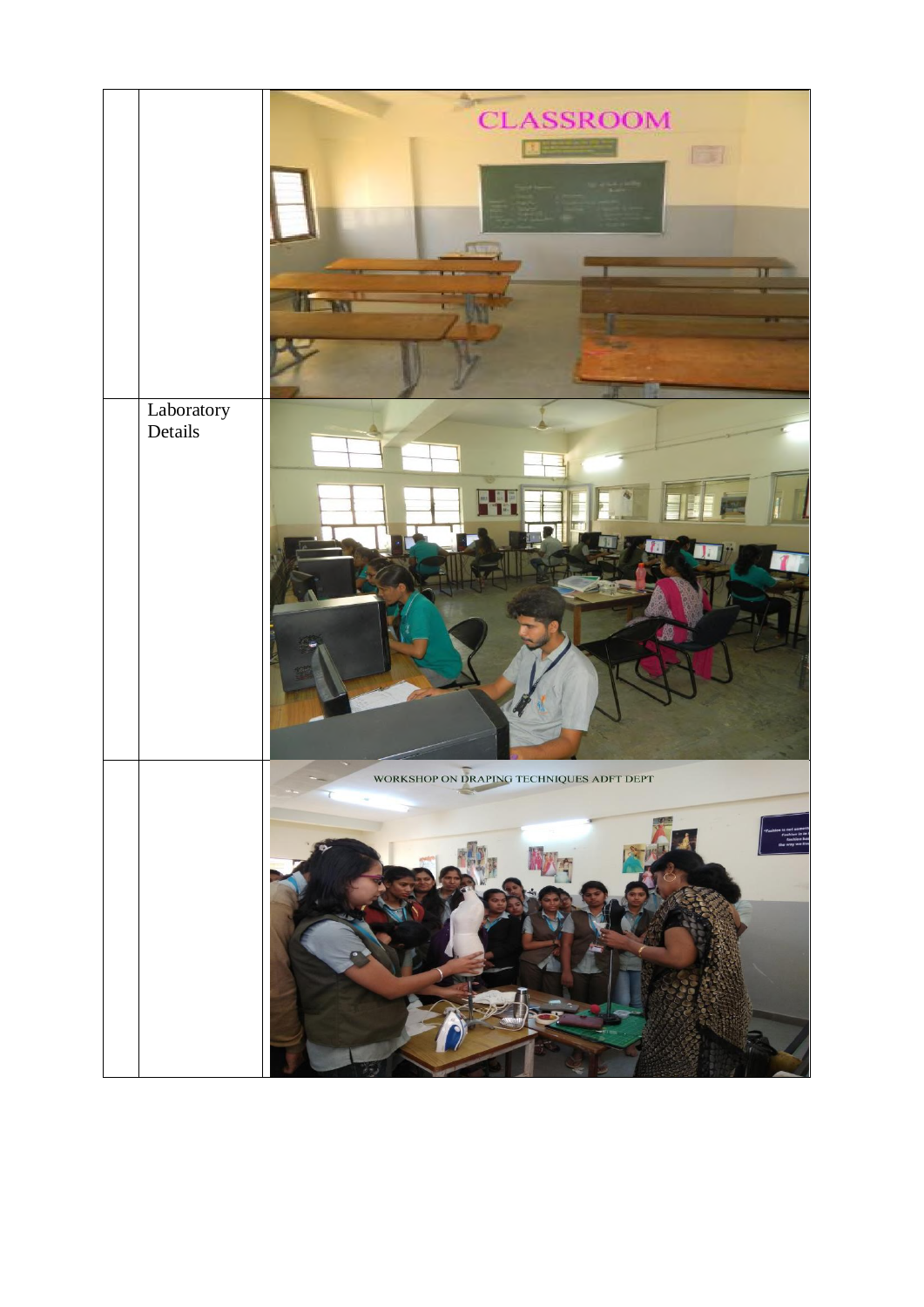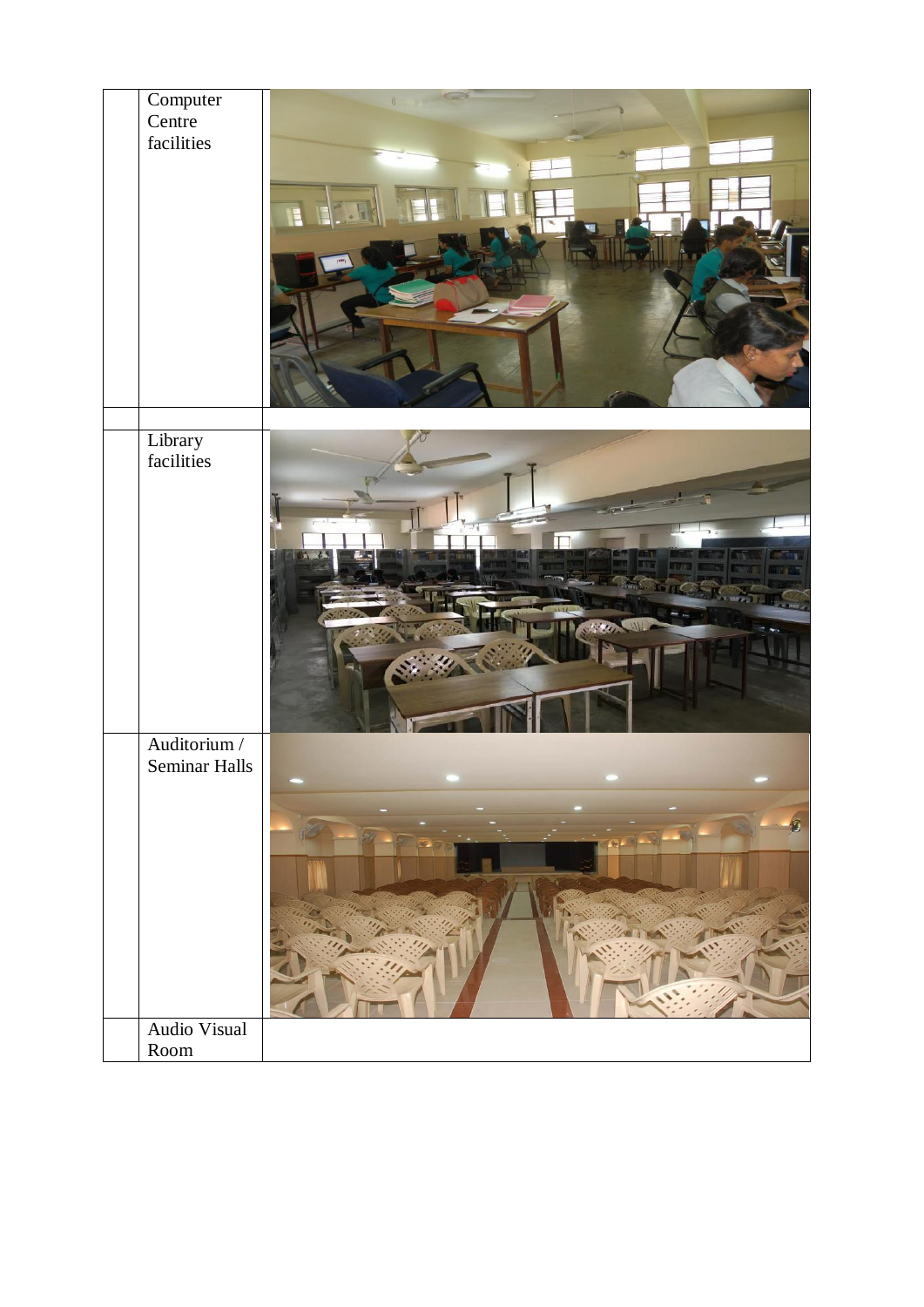| Computer<br>Centre            |                    |
|-------------------------------|--------------------|
|                               |                    |
| facilities                    |                    |
|                               |                    |
|                               | E                  |
|                               |                    |
|                               |                    |
|                               |                    |
|                               |                    |
|                               |                    |
|                               |                    |
|                               |                    |
|                               |                    |
| Library<br>facilities         |                    |
|                               |                    |
|                               |                    |
|                               | Г                  |
|                               |                    |
|                               | <b>ALL WHEN</b>    |
|                               | <b>ILL AND WIL</b> |
|                               |                    |
|                               |                    |
|                               |                    |
|                               |                    |
| Auditorium /<br>Seminar Halls |                    |
|                               |                    |
|                               | $\tilde{g}$        |
|                               |                    |
|                               |                    |
|                               |                    |
|                               |                    |
|                               |                    |
|                               |                    |
|                               |                    |
| Audio Visual                  |                    |
| $\operatorname{Room}$         |                    |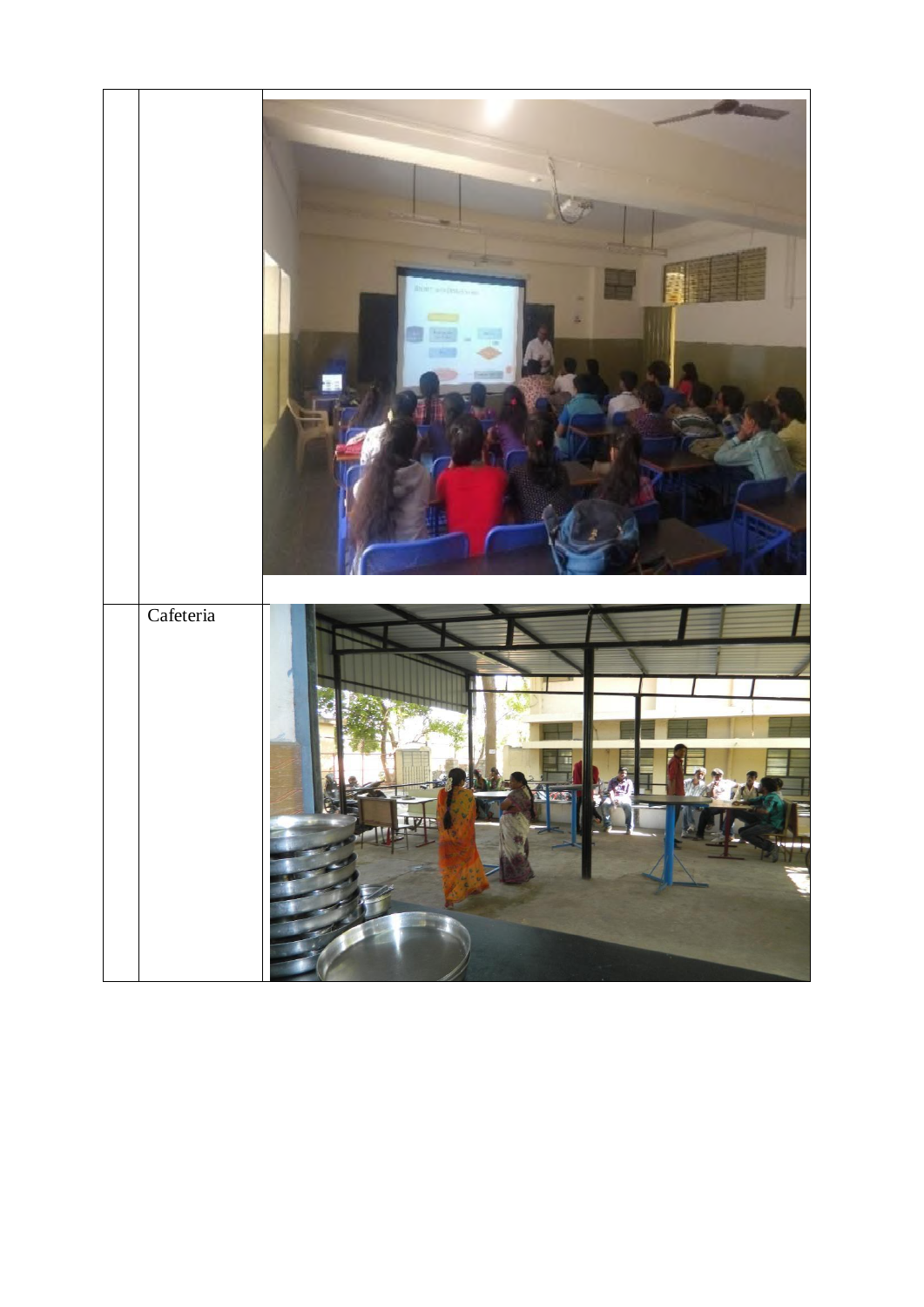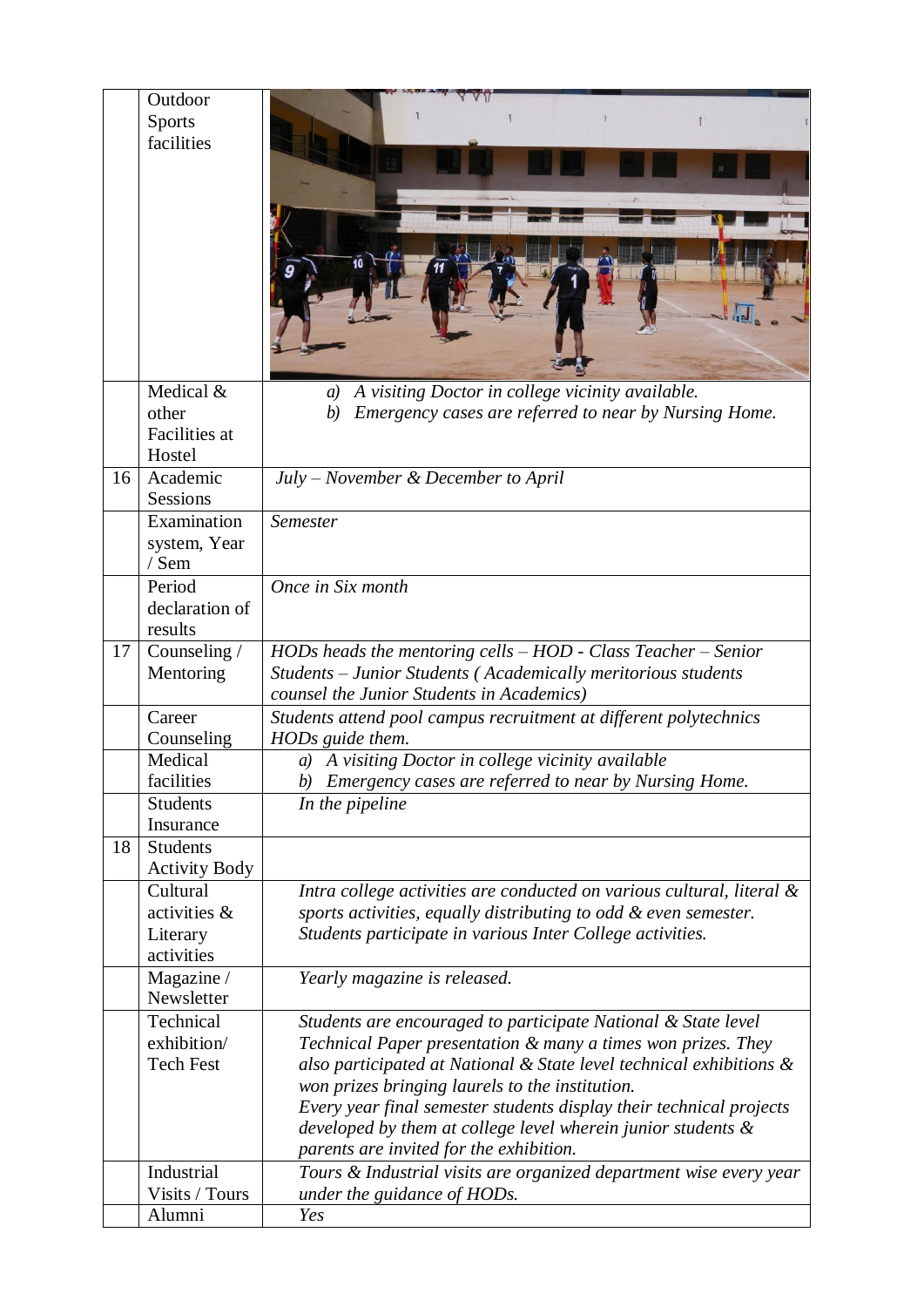|    | Outdoor                         |                                                                                                                                     |
|----|---------------------------------|-------------------------------------------------------------------------------------------------------------------------------------|
|    | <b>Sports</b><br>facilities     |                                                                                                                                     |
|    |                                 |                                                                                                                                     |
|    |                                 |                                                                                                                                     |
|    |                                 |                                                                                                                                     |
|    |                                 |                                                                                                                                     |
|    |                                 |                                                                                                                                     |
|    |                                 |                                                                                                                                     |
|    |                                 |                                                                                                                                     |
|    |                                 |                                                                                                                                     |
|    |                                 |                                                                                                                                     |
|    | Medical &                       | A visiting Doctor in college vicinity available.<br>a)                                                                              |
|    | other<br>Facilities at          | Emergency cases are referred to near by Nursing Home.<br>(b)                                                                        |
|    | Hostel                          |                                                                                                                                     |
| 16 | Academic                        | July – November & December to April                                                                                                 |
|    | Sessions                        |                                                                                                                                     |
|    | Examination                     | Semester                                                                                                                            |
|    | system, Year<br>/ Sem           |                                                                                                                                     |
|    | Period                          | Once in Six month                                                                                                                   |
|    | declaration of                  |                                                                                                                                     |
|    | results                         |                                                                                                                                     |
| 17 | Counseling /                    | HODs heads the mentoring cells - HOD - Class Teacher - Senior                                                                       |
|    | Mentoring                       | Students - Junior Students (Academically meritorious students<br>counsel the Junior Students in Academics)                          |
|    | Career                          | Students attend pool campus recruitment at different polytechnics                                                                   |
|    | Counseling                      | HODs guide them.                                                                                                                    |
|    | Medical                         | A visiting Doctor in college vicinity available<br>a)                                                                               |
|    | facilities<br><b>Students</b>   | b) Emergency cases are referred to near by Nursing Home.<br>In the pipeline                                                         |
|    | Insurance                       |                                                                                                                                     |
| 18 | <b>Students</b>                 |                                                                                                                                     |
|    | <b>Activity Body</b>            |                                                                                                                                     |
|    | Cultural                        | Intra college activities are conducted on various cultural, literal $\&$                                                            |
|    | activities &<br>Literary        | sports activities, equally distributing to odd & even semester.<br>Students participate in various Inter College activities.        |
|    | activities                      |                                                                                                                                     |
|    | Magazine /                      | Yearly magazine is released.                                                                                                        |
|    | Newsletter                      |                                                                                                                                     |
|    | Technical                       | Students are encouraged to participate National & State level                                                                       |
|    | exhibition/<br><b>Tech Fest</b> | Technical Paper presentation & many a times won prizes. They<br>also participated at National & State level technical exhibitions & |
|    |                                 | won prizes bringing laurels to the institution.                                                                                     |
|    |                                 | Every year final semester students display their technical projects                                                                 |
|    |                                 | developed by them at college level wherein junior students &                                                                        |
|    |                                 | parents are invited for the exhibition.                                                                                             |
|    | Industrial<br>Visits / Tours    | Tours & Industrial visits are organized department wise every year                                                                  |
|    | Alumni                          | under the guidance of HODs.<br>Yes                                                                                                  |
|    |                                 |                                                                                                                                     |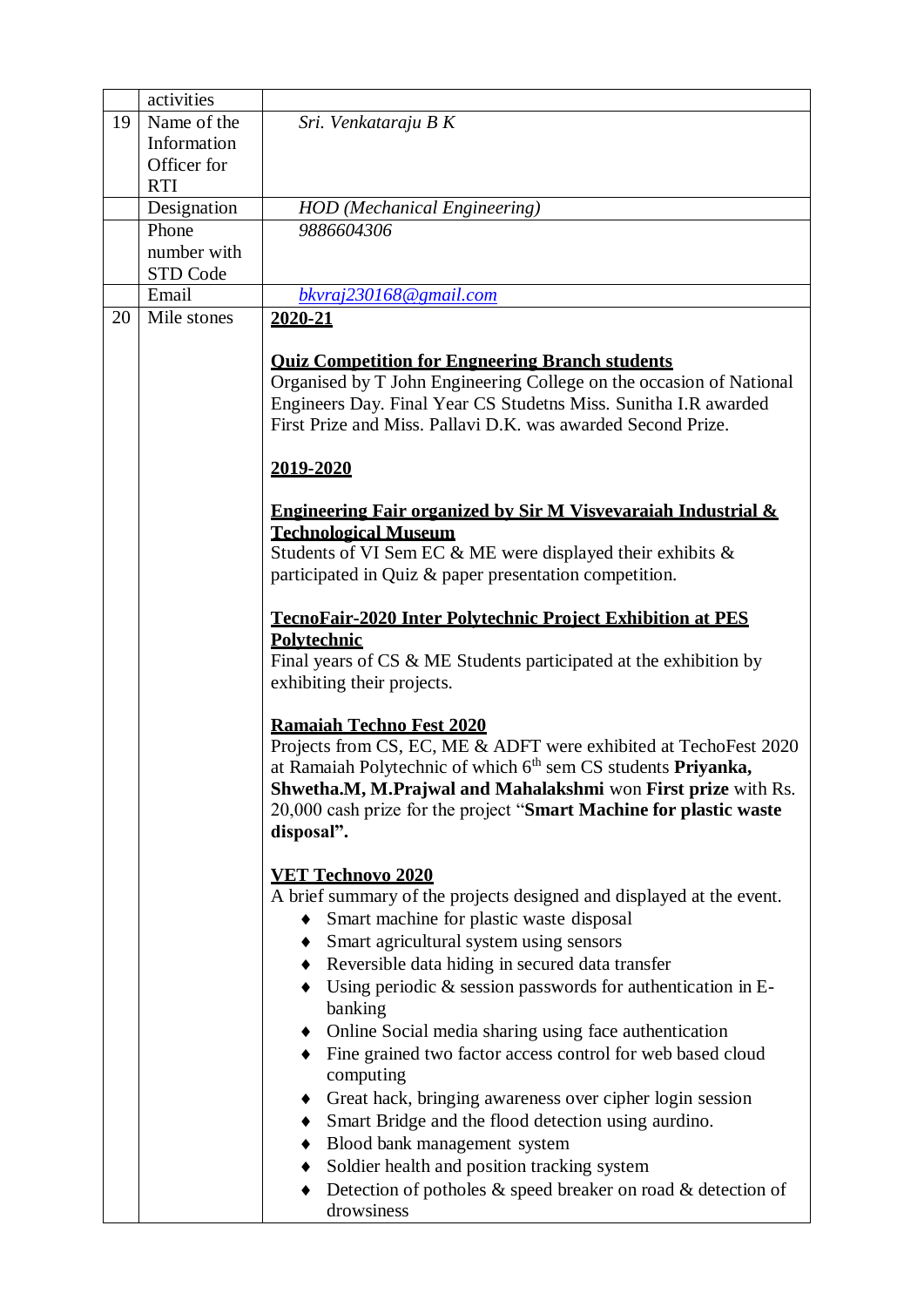|    | activities  |                                                                                                    |
|----|-------------|----------------------------------------------------------------------------------------------------|
| 19 | Name of the | Sri. Venkataraju B K                                                                               |
|    | Information |                                                                                                    |
|    | Officer for |                                                                                                    |
|    | <b>RTI</b>  |                                                                                                    |
|    | Designation | <b>HOD</b> (Mechanical Engineering)                                                                |
|    | Phone       | 9886604306                                                                                         |
|    | number with |                                                                                                    |
|    | STD Code    |                                                                                                    |
|    | Email       | bkvraj230168@gmail.com                                                                             |
| 20 | Mile stones | 2020-21                                                                                            |
|    |             | <b>Ouiz Competition for Engneering Branch students</b>                                             |
|    |             | Organised by T John Engineering College on the occasion of National                                |
|    |             | Engineers Day. Final Year CS Studetns Miss. Sunitha I.R awarded                                    |
|    |             | First Prize and Miss. Pallavi D.K. was awarded Second Prize.                                       |
|    |             |                                                                                                    |
|    |             | 2019-2020                                                                                          |
|    |             |                                                                                                    |
|    |             | Engineering Fair organized by Sir M Visvevaraiah Industrial &                                      |
|    |             | <b>Technological Museum</b>                                                                        |
|    |             | Students of VI Sem EC & ME were displayed their exhibits &                                         |
|    |             | participated in Quiz & paper presentation competition.                                             |
|    |             |                                                                                                    |
|    |             | <b>TecnoFair-2020 Inter Polytechnic Project Exhibition at PES</b>                                  |
|    |             | <b>Polytechnic</b>                                                                                 |
|    |             | Final years of $CS \& ME$ Students participated at the exhibition by<br>exhibiting their projects. |
|    |             |                                                                                                    |
|    |             | <b>Ramaiah Techno Fest 2020</b>                                                                    |
|    |             | Projects from CS, EC, ME & ADFT were exhibited at TechoFest 2020                                   |
|    |             | at Ramaiah Polytechnic of which 6 <sup>th</sup> sem CS students Priyanka,                          |
|    |             | Shwetha.M, M.Prajwal and Mahalakshmi won First prize with Rs.                                      |
|    |             | 20,000 cash prize for the project "Smart Machine for plastic waste                                 |
|    |             | disposal".                                                                                         |
|    |             |                                                                                                    |
|    |             | <b>VET Technovo 2020</b>                                                                           |
|    |             | A brief summary of the projects designed and displayed at the event.                               |
|    |             | Smart machine for plastic waste disposal                                                           |
|    |             | Smart agricultural system using sensors                                                            |
|    |             | Reversible data hiding in secured data transfer<br>$\bullet$                                       |
|    |             | Using periodic $\&$ session passwords for authentication in E-                                     |
|    |             | banking                                                                                            |
|    |             | Online Social media sharing using face authentication                                              |
|    |             | Fine grained two factor access control for web based cloud                                         |
|    |             | computing                                                                                          |
|    |             | Great hack, bringing awareness over cipher login session<br>$\bullet$                              |
|    |             | Smart Bridge and the flood detection using aurdino.<br>$\bullet$                                   |
|    |             | Blood bank management system                                                                       |
|    |             | Soldier health and position tracking system<br>$\bullet$                                           |
|    |             | Detection of potholes $\&$ speed breaker on road $\&$ detection of                                 |
|    |             | drowsiness                                                                                         |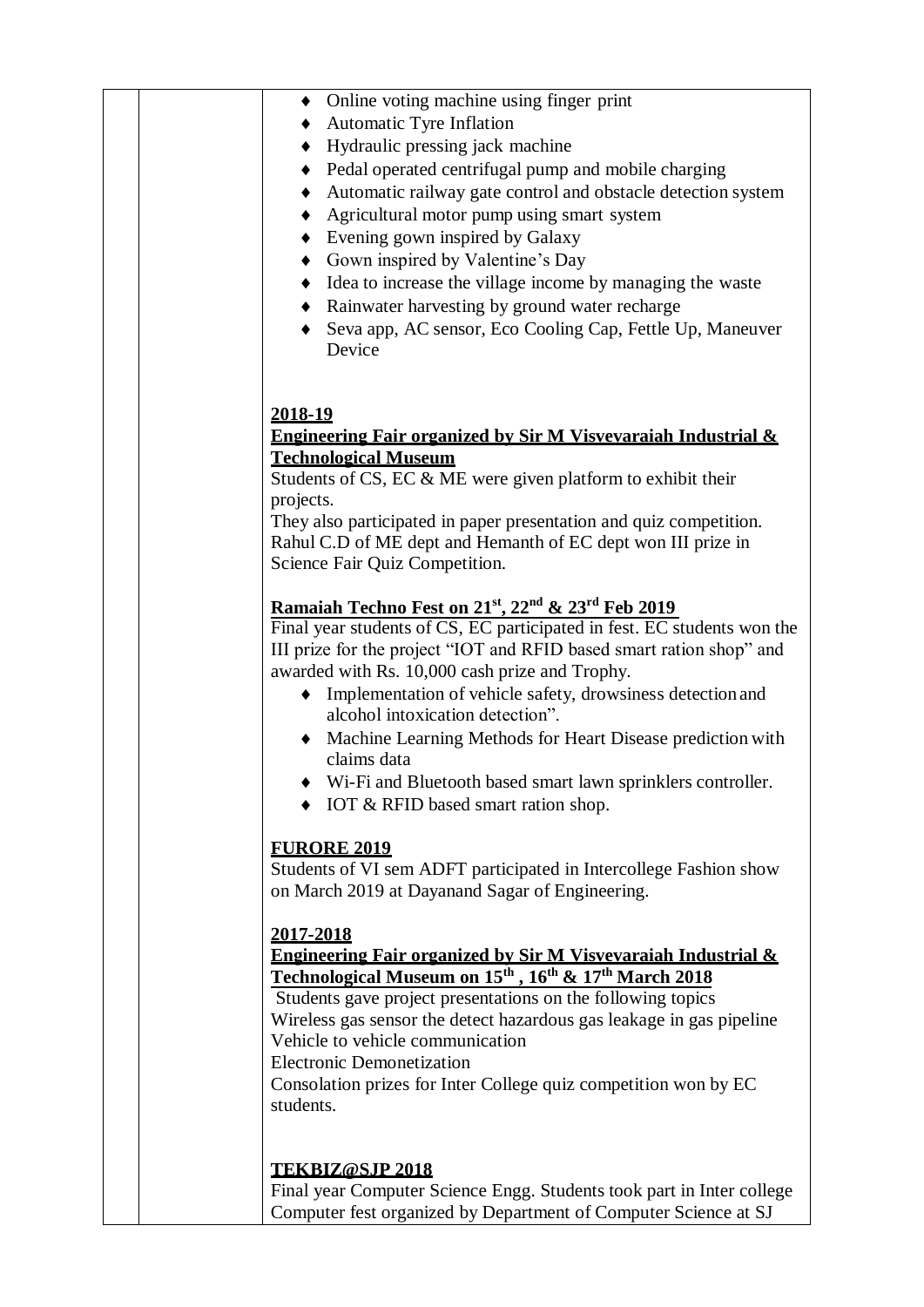| Online voting machine using finger print                                                                                                                   |
|------------------------------------------------------------------------------------------------------------------------------------------------------------|
| Automatic Tyre Inflation                                                                                                                                   |
| Hydraulic pressing jack machine                                                                                                                            |
| Pedal operated centrifugal pump and mobile charging                                                                                                        |
| Automatic railway gate control and obstacle detection system                                                                                               |
| Agricultural motor pump using smart system                                                                                                                 |
| Evening gown inspired by Galaxy                                                                                                                            |
| Gown inspired by Valentine's Day                                                                                                                           |
| Idea to increase the village income by managing the waste                                                                                                  |
| • Rainwater harvesting by ground water recharge                                                                                                            |
| Seva app, AC sensor, Eco Cooling Cap, Fettle Up, Maneuver                                                                                                  |
| Device                                                                                                                                                     |
|                                                                                                                                                            |
| 2018-19                                                                                                                                                    |
| Engineering Fair organized by Sir M Visvevaraiah Industrial &                                                                                              |
| <b>Technological Museum</b>                                                                                                                                |
| Students of CS, EC & ME were given platform to exhibit their                                                                                               |
| projects.                                                                                                                                                  |
| They also participated in paper presentation and quiz competition.                                                                                         |
| Rahul C.D of ME dept and Hemanth of EC dept won III prize in<br>Science Fair Quiz Competition.                                                             |
|                                                                                                                                                            |
| Ramaiah Techno Fest on 21st, 22 <sup>nd</sup> & 23 <sup>rd</sup> Feb 2019                                                                                  |
| Final year students of CS, EC participated in fest. EC students won the                                                                                    |
| III prize for the project "IOT and RFID based smart ration shop" and                                                                                       |
| awarded with Rs. 10,000 cash prize and Trophy.                                                                                                             |
| Implementation of vehicle safety, drowsiness detection and                                                                                                 |
| alcohol intoxication detection".                                                                                                                           |
| • Machine Learning Methods for Heart Disease prediction with<br>claims data                                                                                |
| Wi-Fi and Bluetooth based smart lawn sprinklers controller.                                                                                                |
| $\bullet$ IOT & RFID based smart ration shop.                                                                                                              |
|                                                                                                                                                            |
| <b>FURORE 2019</b>                                                                                                                                         |
| Students of VI sem ADFT participated in Intercollege Fashion show                                                                                          |
| on March 2019 at Dayanand Sagar of Engineering.                                                                                                            |
|                                                                                                                                                            |
| 2017-2018                                                                                                                                                  |
| Engineering Fair organized by Sir M Visvevaraiah Industrial &<br>Technological Museum on 15 <sup>th</sup> , 16 <sup>th</sup> & 17 <sup>th</sup> March 2018 |
| Students gave project presentations on the following topics                                                                                                |
| Wireless gas sensor the detect hazardous gas leakage in gas pipeline                                                                                       |
| Vehicle to vehicle communication                                                                                                                           |
| <b>Electronic Demonetization</b>                                                                                                                           |
| Consolation prizes for Inter College quiz competition won by EC                                                                                            |
| students.                                                                                                                                                  |
|                                                                                                                                                            |
|                                                                                                                                                            |
| <b>TEKBIZ@SJP 2018</b><br>Final year Computer Science Engg. Students took part in Inter college                                                            |
| Computer fest organized by Department of Computer Science at SJ                                                                                            |
|                                                                                                                                                            |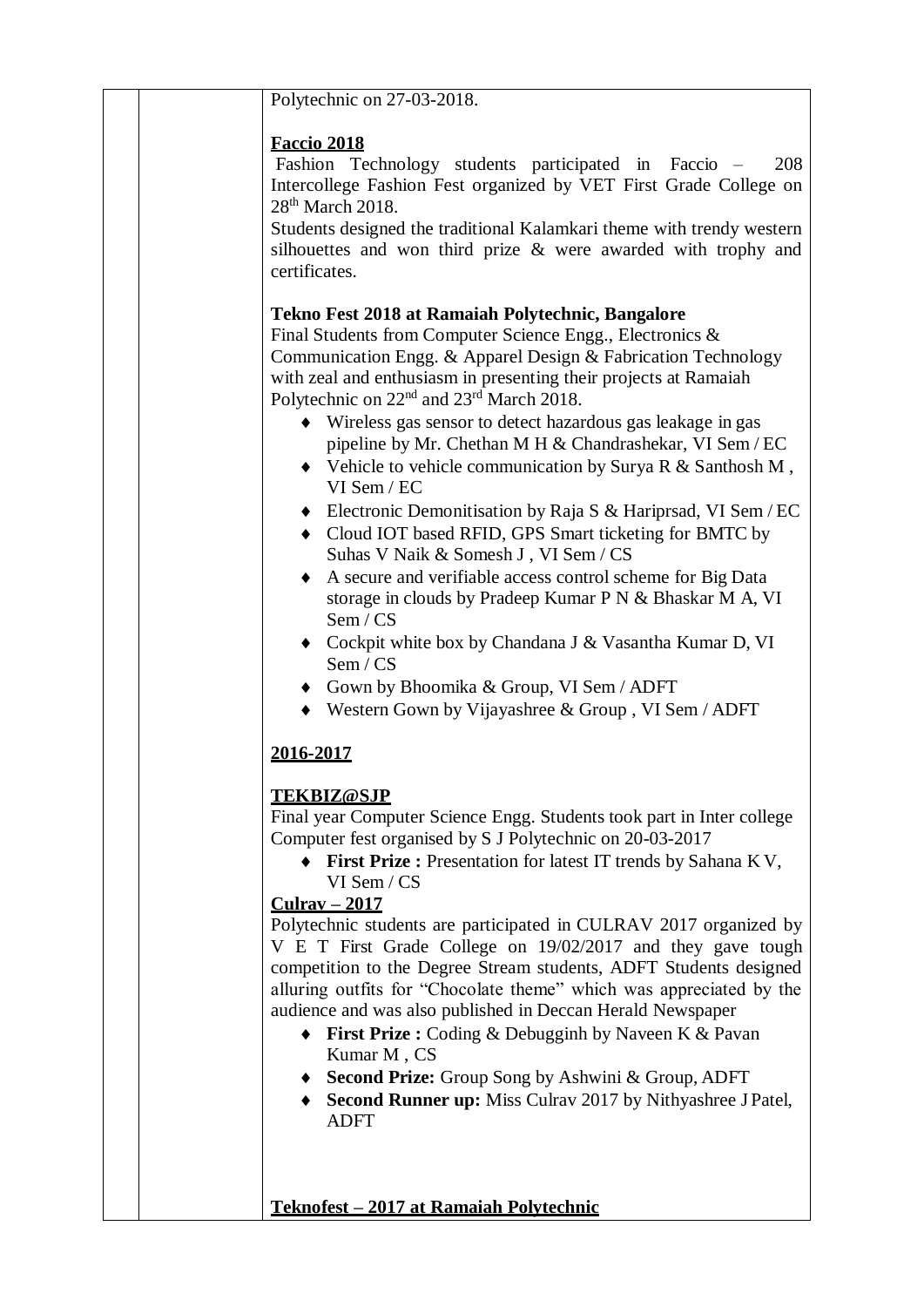| Polytechnic on 27-03-2018.                                                                                                                                                                                                                                                                                                                                                                                                                                                                                                                                                                                                                                                                                                                                                                                                                                                                                                                                                            |
|---------------------------------------------------------------------------------------------------------------------------------------------------------------------------------------------------------------------------------------------------------------------------------------------------------------------------------------------------------------------------------------------------------------------------------------------------------------------------------------------------------------------------------------------------------------------------------------------------------------------------------------------------------------------------------------------------------------------------------------------------------------------------------------------------------------------------------------------------------------------------------------------------------------------------------------------------------------------------------------|
| <b>Faccio 2018</b><br>Fashion Technology students participated in Faccio –<br>208<br>Intercollege Fashion Fest organized by VET First Grade College on<br>28 <sup>th</sup> March 2018.<br>Students designed the traditional Kalamkari theme with trendy western<br>silhouettes and won third prize $\&$ were awarded with trophy and<br>certificates.                                                                                                                                                                                                                                                                                                                                                                                                                                                                                                                                                                                                                                 |
| Tekno Fest 2018 at Ramaiah Polytechnic, Bangalore<br>Final Students from Computer Science Engg., Electronics &<br>Communication Engg. & Apparel Design & Fabrication Technology<br>with zeal and enthusiasm in presenting their projects at Ramaiah<br>Polytechnic on 22 <sup>nd</sup> and 23 <sup>rd</sup> March 2018.<br>• Wireless gas sensor to detect hazardous gas leakage in gas<br>pipeline by Mr. Chethan M H & Chandrashekar, VI Sem / EC<br>$\blacklozenge$ Vehicle to vehicle communication by Surya R & Santhosh M,<br>VI Sem / EC<br>$\bullet$ Electronic Demonitisation by Raja S & Hariprsad, VI Sem / EC<br>• Cloud IOT based RFID, GPS Smart ticketing for BMTC by<br>Suhas V Naik & Somesh J, VI Sem / CS<br>A secure and verifiable access control scheme for Big Data<br>storage in clouds by Pradeep Kumar P N & Bhaskar M A, VI<br>Sem / CS<br>Cockpit white box by Chandana J & Vasantha Kumar D, VI<br>Sem / CS<br>• Gown by Bhoomika & Group, VI Sem / ADFT |
| Western Gown by Vijayashree & Group, VI Sem / ADFT                                                                                                                                                                                                                                                                                                                                                                                                                                                                                                                                                                                                                                                                                                                                                                                                                                                                                                                                    |
| 2016-2017<br><b>TEKBIZ@SJP</b><br>Final year Computer Science Engg. Students took part in Inter college<br>Computer fest organised by S J Polytechnic on 20-03-2017<br>First Prize : Presentation for latest IT trends by Sahana K V,<br>VI Sem / CS<br>$Culrav - 2017$<br>Polytechnic students are participated in CULRAV 2017 organized by<br>V E T First Grade College on 19/02/2017 and they gave tough<br>competition to the Degree Stream students, ADFT Students designed<br>alluring outfits for "Chocolate theme" which was appreciated by the<br>audience and was also published in Deccan Herald Newspaper<br><b>First Prize :</b> Coding & Debugginh by Naveen K & Pavan<br>$\bullet$<br>Kumar M, CS<br>• Second Prize: Group Song by Ashwini & Group, ADFT<br><b>Second Runner up:</b> Miss Culrav 2017 by Nithyashree J Patel,<br><b>ADFT</b>                                                                                                                           |
| Teknofest - 2017 at Ramaiah Polytechnic                                                                                                                                                                                                                                                                                                                                                                                                                                                                                                                                                                                                                                                                                                                                                                                                                                                                                                                                               |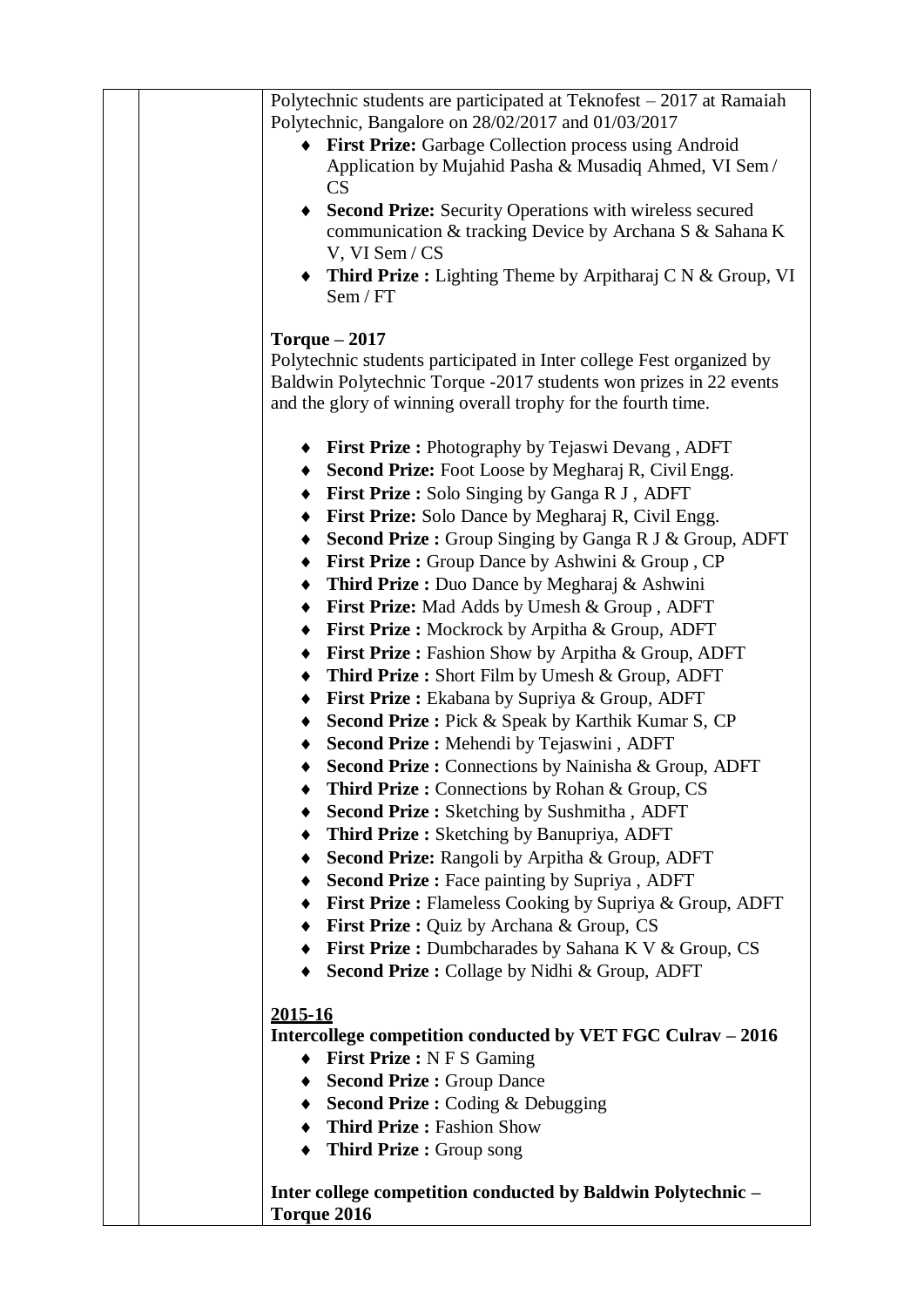| Polytechnic students are participated at Teknofest - 2017 at Ramaiah<br>Polytechnic, Bangalore on 28/02/2017 and 01/03/2017 |
|-----------------------------------------------------------------------------------------------------------------------------|
| First Prize: Garbage Collection process using Android                                                                       |
| Application by Mujahid Pasha & Musadiq Ahmed, VI Sem/<br><b>CS</b>                                                          |
| <b>Second Prize:</b> Security Operations with wireless secured                                                              |
| communication & tracking Device by Archana S & Sahana K<br>V, VI Sem / CS                                                   |
| • Third Prize : Lighting Theme by Arpitharaj C N & Group, VI                                                                |
| Sem / FT                                                                                                                    |
| Torque $-2017$                                                                                                              |
| Polytechnic students participated in Inter college Fest organized by                                                        |
| Baldwin Polytechnic Torque -2017 students won prizes in 22 events                                                           |
| and the glory of winning overall trophy for the fourth time.                                                                |
| <b>First Prize:</b> Photography by Tejaswi Devang, ADFT                                                                     |
| Second Prize: Foot Loose by Megharaj R, Civil Engg.                                                                         |
| First Prize: Solo Singing by Ganga R J, ADFT<br>٠                                                                           |
| First Prize: Solo Dance by Megharaj R, Civil Engg.<br>٠                                                                     |
| <b>Second Prize :</b> Group Singing by Ganga R J & Group, ADFT                                                              |
| First Prize : Group Dance by Ashwini & Group, CP<br>٠                                                                       |
| Third Prize : Duo Dance by Megharaj & Ashwini<br>٠                                                                          |
| First Prize: Mad Adds by Umesh & Group, ADFT<br>٠                                                                           |
| <b>First Prize:</b> Mockrock by Arpitha & Group, ADFT<br>$\blacklozenge$                                                    |
| First Prize : Fashion Show by Arpitha & Group, ADFT                                                                         |
| <b>Third Prize:</b> Short Film by Umesh & Group, ADFT<br>$\bullet$                                                          |
| First Prize : Ekabana by Supriya & Group, ADFT<br>٠                                                                         |
| Second Prize : Pick & Speak by Karthik Kumar S, CP<br>٠                                                                     |
| Second Prize : Mehendi by Tejaswini, ADFT                                                                                   |
| Second Prize : Connections by Nainisha & Group, ADFT<br>٠                                                                   |
| <b>Third Prize:</b> Connections by Rohan & Group, CS                                                                        |
| <b>Second Prize :</b> Sketching by Sushmitha, ADFT                                                                          |
| Third Prize: Sketching by Banupriya, ADFT                                                                                   |
| Second Prize: Rangoli by Arpitha & Group, ADFT                                                                              |
|                                                                                                                             |
| • Second Prize : Face painting by Supriya, ADFT                                                                             |
| <b>First Prize:</b> Flameless Cooking by Supriya & Group, ADFT                                                              |
| <b>First Prize:</b> Quiz by Archana & Group, CS                                                                             |
| <b>First Prize:</b> Dumbcharades by Sahana K V & Group, CS                                                                  |
| Second Prize : Collage by Nidhi & Group, ADFT                                                                               |
| <u>2015-16</u>                                                                                                              |
| Intercollege competition conducted by VET FGC Culrav – 2016                                                                 |
| <b>First Prize: N F S Gaming</b>                                                                                            |
| <b>Second Prize: Group Dance</b>                                                                                            |
| $\triangle$ Second Prize : Coding & Debugging                                                                               |
| <b>Third Prize: Fashion Show</b>                                                                                            |
| <b>Third Prize: Group song</b><br>٠                                                                                         |
|                                                                                                                             |
| Inter college competition conducted by Baldwin Polytechnic -                                                                |
| Torque 2016                                                                                                                 |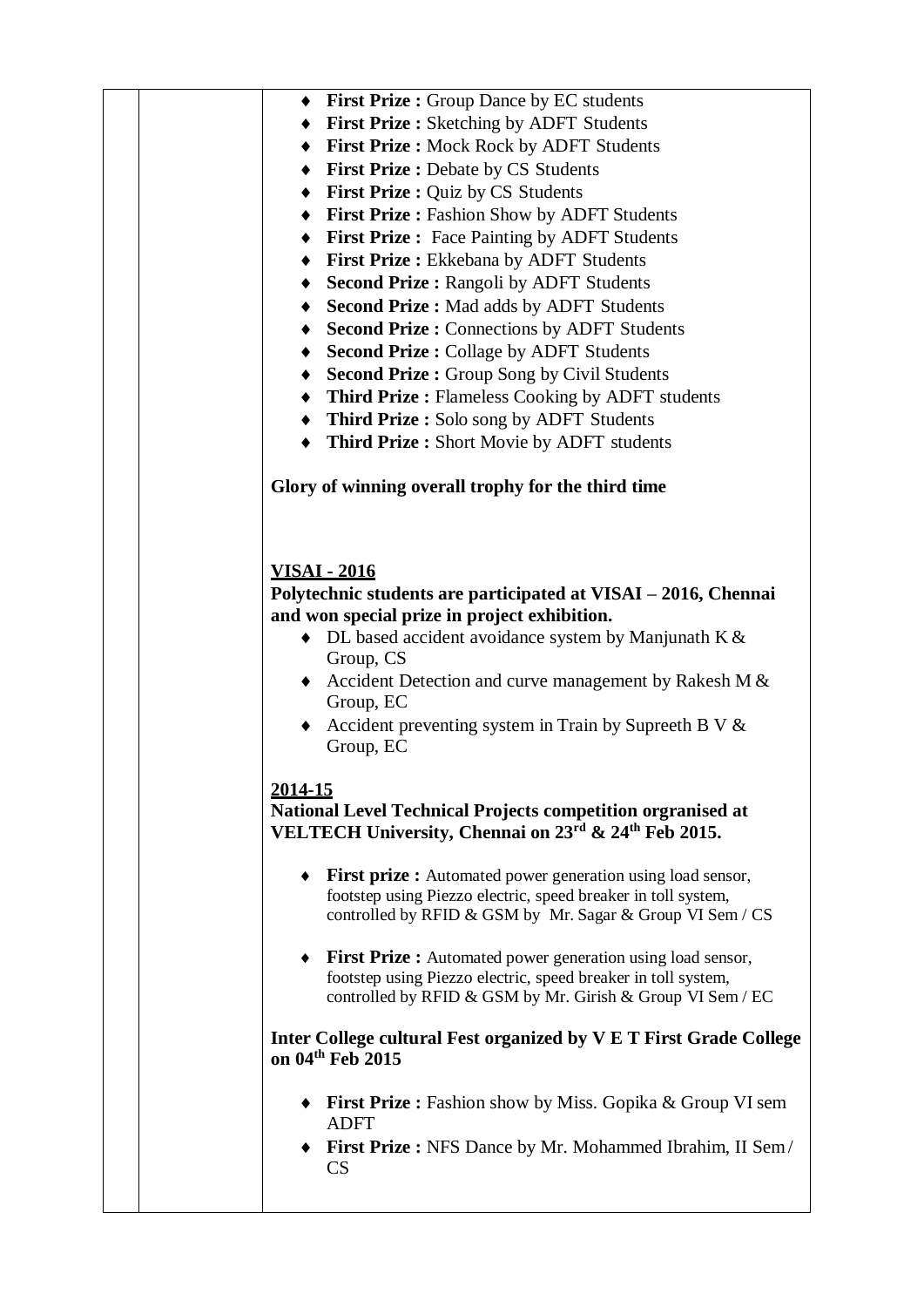| ◆ First Prize : Group Dance by EC students                                                                                                  |
|---------------------------------------------------------------------------------------------------------------------------------------------|
| <b>First Prize:</b> Sketching by ADFT Students                                                                                              |
| First Prize : Mock Rock by ADFT Students                                                                                                    |
| ♦ First Prize : Debate by CS Students                                                                                                       |
| ♦ First Prize : Quiz by CS Students                                                                                                         |
| First Prize : Fashion Show by ADFT Students                                                                                                 |
| • First Prize : Face Painting by ADFT Students                                                                                              |
| First Prize : Ekkebana by ADFT Students                                                                                                     |
| ◆ Second Prize : Rangoli by ADFT Students                                                                                                   |
| Second Prize : Mad adds by ADFT Students                                                                                                    |
| <b>Second Prize : Connections by ADFT Students</b>                                                                                          |
|                                                                                                                                             |
| <b>Second Prize : Collage by ADFT Students</b>                                                                                              |
| <b>Second Prize : Group Song by Civil Students</b>                                                                                          |
| • Third Prize : Flameless Cooking by ADFT students                                                                                          |
| Third Prize : Solo song by ADFT Students                                                                                                    |
| Third Prize: Short Movie by ADFT students                                                                                                   |
|                                                                                                                                             |
| Glory of winning overall trophy for the third time                                                                                          |
| <b>VISAI - 2016</b>                                                                                                                         |
| Polytechnic students are participated at VISAI – 2016, Chennai                                                                              |
| and won special prize in project exhibition.                                                                                                |
| $\bullet$ DL based accident avoidance system by Manjunath K &                                                                               |
| Group, CS                                                                                                                                   |
| Accident Detection and curve management by Rakesh M $&$                                                                                     |
| Group, EC                                                                                                                                   |
| Accident preventing system in Train by Supreeth B V $\&$                                                                                    |
| Group, EC                                                                                                                                   |
|                                                                                                                                             |
| 2014-15                                                                                                                                     |
| National Level Technical Projects competition orgranised at<br>VELTECH University, Chennai on 23 <sup>rd</sup> & 24 <sup>th</sup> Feb 2015. |
| <b>First prize:</b> Automated power generation using load sensor,                                                                           |
| footstep using Piezzo electric, speed breaker in toll system,                                                                               |
| controlled by RFID & GSM by Mr. Sagar & Group VI Sem / CS                                                                                   |
|                                                                                                                                             |
| <b>First Prize:</b> Automated power generation using load sensor,                                                                           |
| footstep using Piezzo electric, speed breaker in toll system,                                                                               |
| controlled by RFID & GSM by Mr. Girish & Group VI Sem / EC                                                                                  |
|                                                                                                                                             |
| Inter College cultural Fest organized by V E T First Grade College<br>on 04th Feb 2015                                                      |
|                                                                                                                                             |
| $\bullet$ First Prize: Fashion show by Miss. Gopika & Group VI sem                                                                          |
| <b>ADFT</b>                                                                                                                                 |
| <b>First Prize:</b> NFS Dance by Mr. Mohammed Ibrahim, II Sem/                                                                              |
| <b>CS</b>                                                                                                                                   |
|                                                                                                                                             |
|                                                                                                                                             |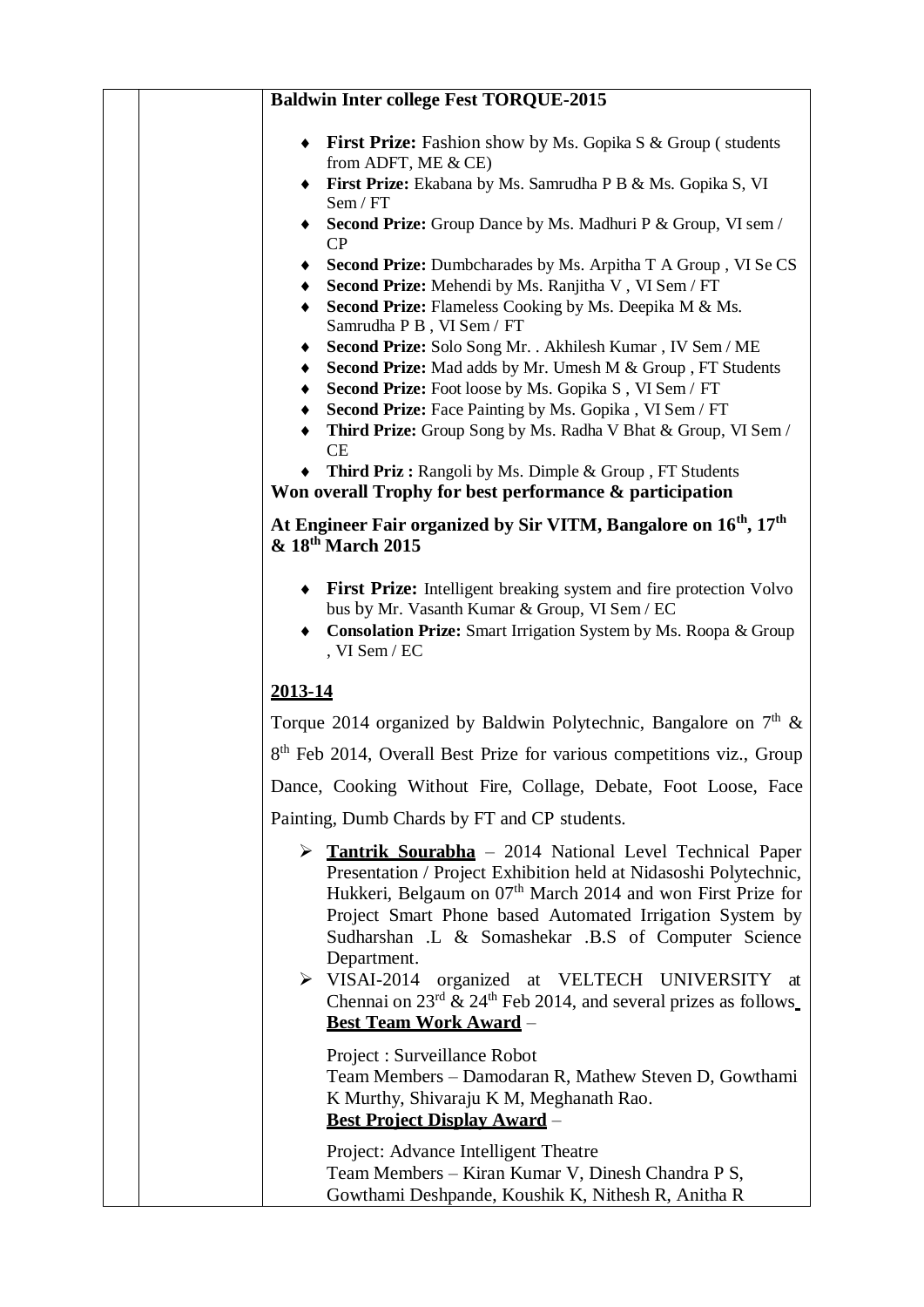|                                            | <b>Baldwin Inter college Fest TORQUE-2015</b>                                                                                                                                                                                                                                                                                                                                                                                                                                                                     |
|--------------------------------------------|-------------------------------------------------------------------------------------------------------------------------------------------------------------------------------------------------------------------------------------------------------------------------------------------------------------------------------------------------------------------------------------------------------------------------------------------------------------------------------------------------------------------|
|                                            | • First Prize: Fashion show by Ms. Gopika S & Group (students<br>from ADFT, ME & CE)<br>First Prize: Ekabana by Ms. Samrudha P B & Ms. Gopika S, VI                                                                                                                                                                                                                                                                                                                                                               |
| Sem / FT                                   | <b>Second Prize:</b> Group Dance by Ms. Madhuri P & Group, VI sem /                                                                                                                                                                                                                                                                                                                                                                                                                                               |
| CP                                         |                                                                                                                                                                                                                                                                                                                                                                                                                                                                                                                   |
|                                            | Second Prize: Dumbcharades by Ms. Arpitha T A Group, VI Se CS                                                                                                                                                                                                                                                                                                                                                                                                                                                     |
|                                            | Second Prize: Mehendi by Ms. Ranjitha V, VI Sem / FT<br>Second Prize: Flameless Cooking by Ms. Deepika M & Ms.<br>Samrudha P B, VI Sem / FT                                                                                                                                                                                                                                                                                                                                                                       |
|                                            | Second Prize: Solo Song Mr. . Akhilesh Kumar, IV Sem / ME                                                                                                                                                                                                                                                                                                                                                                                                                                                         |
|                                            | Second Prize: Mad adds by Mr. Umesh M & Group, FT Students                                                                                                                                                                                                                                                                                                                                                                                                                                                        |
|                                            | Second Prize: Foot loose by Ms. Gopika S, VI Sem / FT                                                                                                                                                                                                                                                                                                                                                                                                                                                             |
| CE                                         | Second Prize: Face Painting by Ms. Gopika, VI Sem / FT<br>Third Prize: Group Song by Ms. Radha V Bhat & Group, VI Sem /                                                                                                                                                                                                                                                                                                                                                                                           |
|                                            | Third Priz: Rangoli by Ms. Dimple & Group, FT Students<br>Won overall Trophy for best performance & participation                                                                                                                                                                                                                                                                                                                                                                                                 |
| & 18 <sup>th</sup> March 2015              | At Engineer Fair organized by Sir VITM, Bangalore on 16 <sup>th</sup> , 17 <sup>th</sup>                                                                                                                                                                                                                                                                                                                                                                                                                          |
| , VI Sem / EC                              | • First Prize: Intelligent breaking system and fire protection Volvo<br>bus by Mr. Vasanth Kumar & Group, VI Sem / EC<br>Consolation Prize: Smart Irrigation System by Ms. Roopa & Group                                                                                                                                                                                                                                                                                                                          |
| 2013-14                                    |                                                                                                                                                                                                                                                                                                                                                                                                                                                                                                                   |
|                                            | Torque 2014 organized by Baldwin Polytechnic, Bangalore on $7th$ &                                                                                                                                                                                                                                                                                                                                                                                                                                                |
|                                            | 8 <sup>th</sup> Feb 2014, Overall Best Prize for various competitions viz., Group                                                                                                                                                                                                                                                                                                                                                                                                                                 |
|                                            | Dance, Cooking Without Fire, Collage, Debate, Foot Loose, Face                                                                                                                                                                                                                                                                                                                                                                                                                                                    |
|                                            | Painting, Dumb Chards by FT and CP students.                                                                                                                                                                                                                                                                                                                                                                                                                                                                      |
| Department.<br>$\triangleright$ VISAI-2014 | $\triangleright$ <b>Tantrik Sourabha</b> – 2014 National Level Technical Paper<br>Presentation / Project Exhibition held at Nidasoshi Polytechnic,<br>Hukkeri, Belgaum on 07 <sup>th</sup> March 2014 and won First Prize for<br>Project Smart Phone based Automated Irrigation System by<br>Sudharshan .L & Somashekar .B.S of Computer Science<br>organized at VELTECH UNIVERSITY at<br>Chennai on $23^{\text{rd}}$ & $24^{\text{th}}$ Feb 2014, and several prizes as follows<br><b>Best Team Work Award -</b> |
|                                            | Project : Surveillance Robot<br>Team Members - Damodaran R, Mathew Steven D, Gowthami<br>K Murthy, Shivaraju K M, Meghanath Rao.<br><b>Best Project Display Award -</b>                                                                                                                                                                                                                                                                                                                                           |
|                                            | Project: Advance Intelligent Theatre<br>Team Members – Kiran Kumar V, Dinesh Chandra P S,<br>Gowthami Deshpande, Koushik K, Nithesh R, Anitha R                                                                                                                                                                                                                                                                                                                                                                   |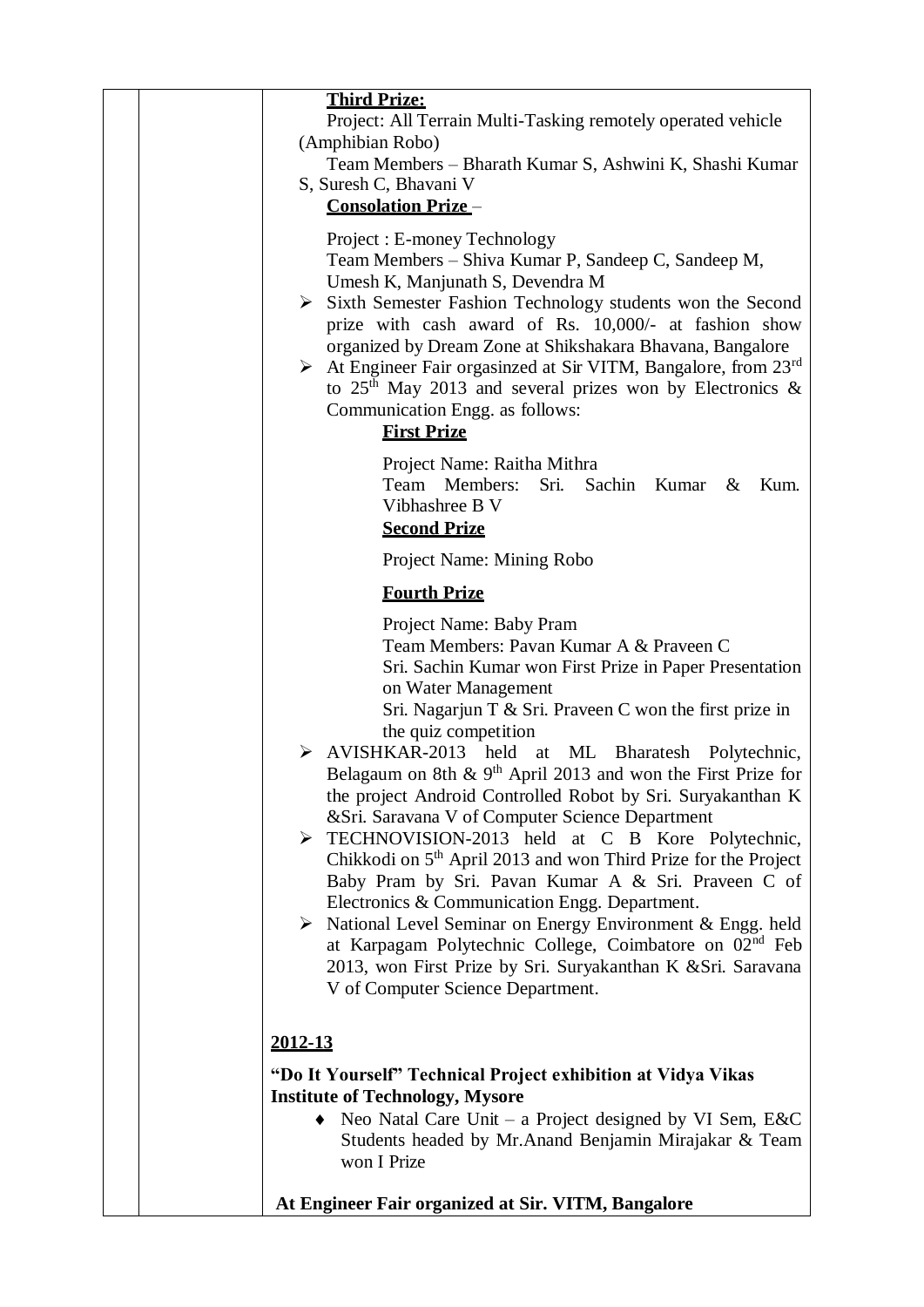| <b>Third Prize:</b><br>Project: All Terrain Multi-Tasking remotely operated vehicle<br>(Amphibian Robo)<br>Team Members – Bharath Kumar S, Ashwini K, Shashi Kumar<br>S, Suresh C, Bhavani V<br><b>Consolation Prize-</b><br>Project: E-money Technology<br>Team Members – Shiva Kumar P, Sandeep C, Sandeep M,<br>Umesh K, Manjunath S, Devendra M<br>$\triangleright$ Sixth Semester Fashion Technology students won the Second<br>prize with cash award of Rs. 10,000/- at fashion show<br>organized by Dream Zone at Shikshakara Bhavana, Bangalore<br>$\triangleright$ At Engineer Fair orgasinzed at Sir VITM, Bangalore, from 23 <sup>rd</sup><br>to $25th$ May 2013 and several prizes won by Electronics &<br>Communication Engg. as follows:<br><b>First Prize</b>                                                                                                                                                                                                                              |
|-----------------------------------------------------------------------------------------------------------------------------------------------------------------------------------------------------------------------------------------------------------------------------------------------------------------------------------------------------------------------------------------------------------------------------------------------------------------------------------------------------------------------------------------------------------------------------------------------------------------------------------------------------------------------------------------------------------------------------------------------------------------------------------------------------------------------------------------------------------------------------------------------------------------------------------------------------------------------------------------------------------|
| Project Name: Raitha Mithra<br>Team Members:<br>Sri.<br>Sachin Kumar<br>Kum.<br>$\&$<br>Vibhashree B V<br><b>Second Prize</b>                                                                                                                                                                                                                                                                                                                                                                                                                                                                                                                                                                                                                                                                                                                                                                                                                                                                             |
| Project Name: Mining Robo                                                                                                                                                                                                                                                                                                                                                                                                                                                                                                                                                                                                                                                                                                                                                                                                                                                                                                                                                                                 |
| <b>Fourth Prize</b>                                                                                                                                                                                                                                                                                                                                                                                                                                                                                                                                                                                                                                                                                                                                                                                                                                                                                                                                                                                       |
| Project Name: Baby Pram<br>Team Members: Pavan Kumar A & Praveen C<br>Sri. Sachin Kumar won First Prize in Paper Presentation<br>on Water Management<br>Sri. Nagarjun T & Sri. Praveen C won the first prize in<br>the quiz competition<br>AVISHKAR-2013 held<br>↘<br>at ML Bharatesh Polytechnic,<br>Belagaum on 8th $\&$ 9 <sup>th</sup> April 2013 and won the First Prize for<br>the project Android Controlled Robot by Sri. Suryakanthan K<br>& Sri. Saravana V of Computer Science Department<br>EXPECHNOVISION-2013 held at C B Kore Polytechnic,<br>Chikkodi on 5 <sup>th</sup> April 2013 and won Third Prize for the Project<br>Baby Pram by Sri. Pavan Kumar A & Sri. Praveen C of<br>Electronics & Communication Engg. Department.<br>$\triangleright$ National Level Seminar on Energy Environment & Engg. held<br>at Karpagam Polytechnic College, Coimbatore on 02 <sup>nd</sup> Feb<br>2013, won First Prize by Sri. Suryakanthan K & Sri. Saravana<br>V of Computer Science Department. |
| 2012-13                                                                                                                                                                                                                                                                                                                                                                                                                                                                                                                                                                                                                                                                                                                                                                                                                                                                                                                                                                                                   |
| "Do It Yourself" Technical Project exhibition at Vidya Vikas<br><b>Institute of Technology, Mysore</b><br>• Neo Natal Care Unit – a Project designed by VI Sem, $E & C$<br>Students headed by Mr.Anand Benjamin Mirajakar & Team<br>won I Prize                                                                                                                                                                                                                                                                                                                                                                                                                                                                                                                                                                                                                                                                                                                                                           |
| At Engineer Fair organized at Sir. VITM, Bangalore                                                                                                                                                                                                                                                                                                                                                                                                                                                                                                                                                                                                                                                                                                                                                                                                                                                                                                                                                        |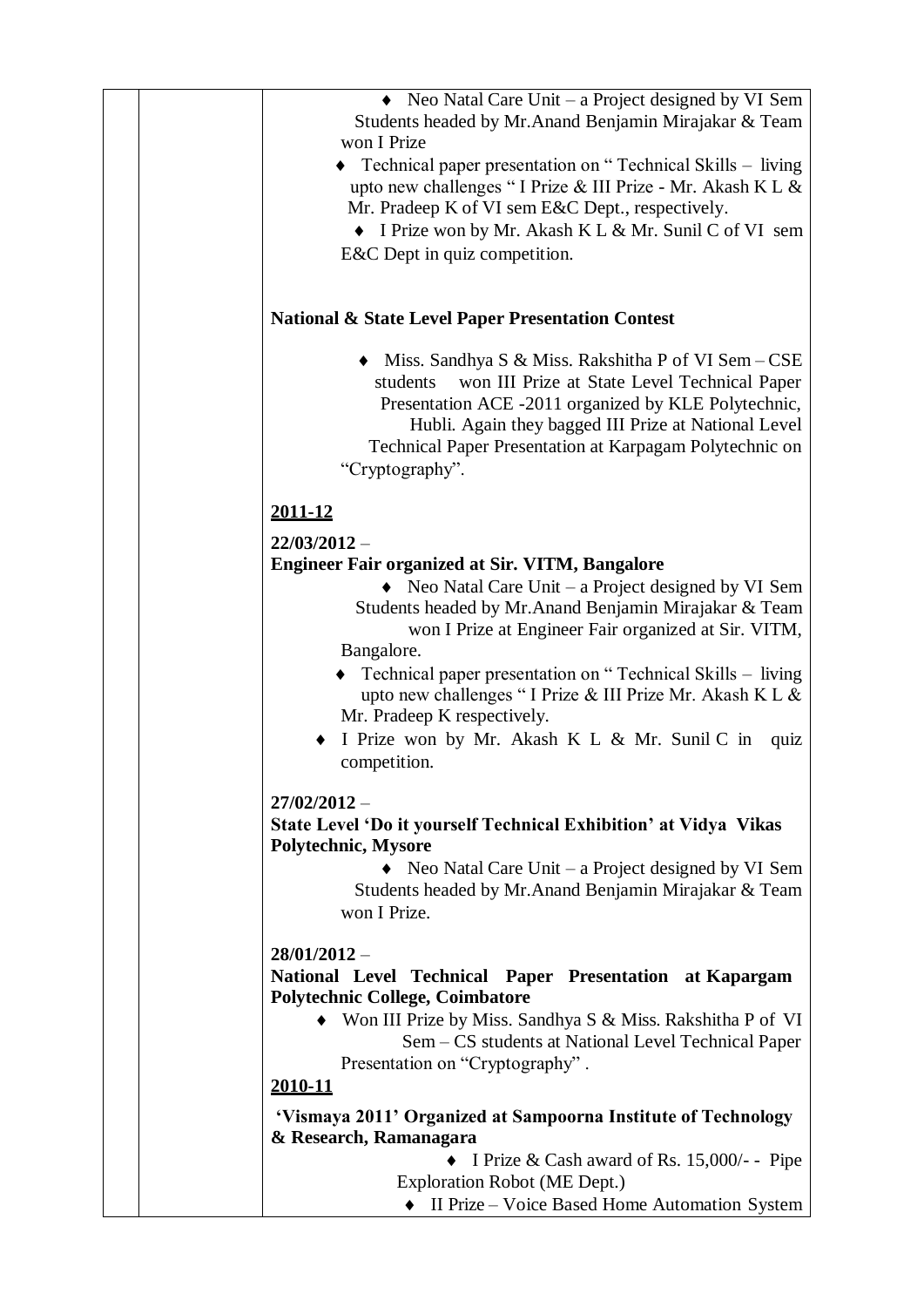| $\bullet$ Neo Natal Care Unit – a Project designed by VI Sem<br>Students headed by Mr. Anand Benjamin Mirajakar & Team<br>won I Prize                                                                                                                                                                           |
|-----------------------------------------------------------------------------------------------------------------------------------------------------------------------------------------------------------------------------------------------------------------------------------------------------------------|
| $\bullet$ Technical paper presentation on "Technical Skills – living<br>upto new challenges "I Prize & III Prize - Mr. Akash K L &<br>Mr. Pradeep K of VI sem E&C Dept., respectively.                                                                                                                          |
| • I Prize won by Mr. Akash K L & Mr. Sunil C of VI sem<br>E&C Dept in quiz competition.                                                                                                                                                                                                                         |
| <b>National &amp; State Level Paper Presentation Contest</b>                                                                                                                                                                                                                                                    |
| • Miss. Sandhya S & Miss. Rakshitha P of VI Sem – CSE<br>won III Prize at State Level Technical Paper<br>students<br>Presentation ACE -2011 organized by KLE Polytechnic,<br>Hubli. Again they bagged III Prize at National Level<br>Technical Paper Presentation at Karpagam Polytechnic on<br>"Cryptography". |
| 2011-12                                                                                                                                                                                                                                                                                                         |
| $22/03/2012 -$<br><b>Engineer Fair organized at Sir. VITM, Bangalore</b>                                                                                                                                                                                                                                        |
| Neo Natal Care Unit - a Project designed by VI Sem                                                                                                                                                                                                                                                              |
| Students headed by Mr.Anand Benjamin Mirajakar & Team<br>won I Prize at Engineer Fair organized at Sir. VITM,<br>Bangalore.                                                                                                                                                                                     |
| Technical paper presentation on "Technical Skills – living<br>upto new challenges "I Prize & III Prize Mr. Akash K L &<br>Mr. Pradeep K respectively.<br>I Prize won by Mr. Akash K L & Mr. Sunil C in<br>quiz<br>competition.                                                                                  |
| $27/02/2012 -$                                                                                                                                                                                                                                                                                                  |
| State Level 'Do it yourself Technical Exhibition' at Vidya Vikas<br>Polytechnic, Mysore                                                                                                                                                                                                                         |
| $\bullet$ Neo Natal Care Unit – a Project designed by VI Sem<br>Students headed by Mr. Anand Benjamin Mirajakar & Team<br>won I Prize.                                                                                                                                                                          |
| $28/01/2012 -$                                                                                                                                                                                                                                                                                                  |
| National Level Technical Paper Presentation at Kapargam<br><b>Polytechnic College, Coimbatore</b>                                                                                                                                                                                                               |
| • Won III Prize by Miss. Sandhya S & Miss. Rakshitha P of VI<br>Sem – CS students at National Level Technical Paper                                                                                                                                                                                             |
| Presentation on "Cryptography".<br>2010-11                                                                                                                                                                                                                                                                      |
| 'Vismaya 2011' Organized at Sampoorna Institute of Technology                                                                                                                                                                                                                                                   |
| & Research, Ramanagara                                                                                                                                                                                                                                                                                          |
| • I Prize & Cash award of Rs. $15,000/-$ - Pipe<br>Exploration Robot (ME Dept.)                                                                                                                                                                                                                                 |
| II Prize – Voice Based Home Automation System                                                                                                                                                                                                                                                                   |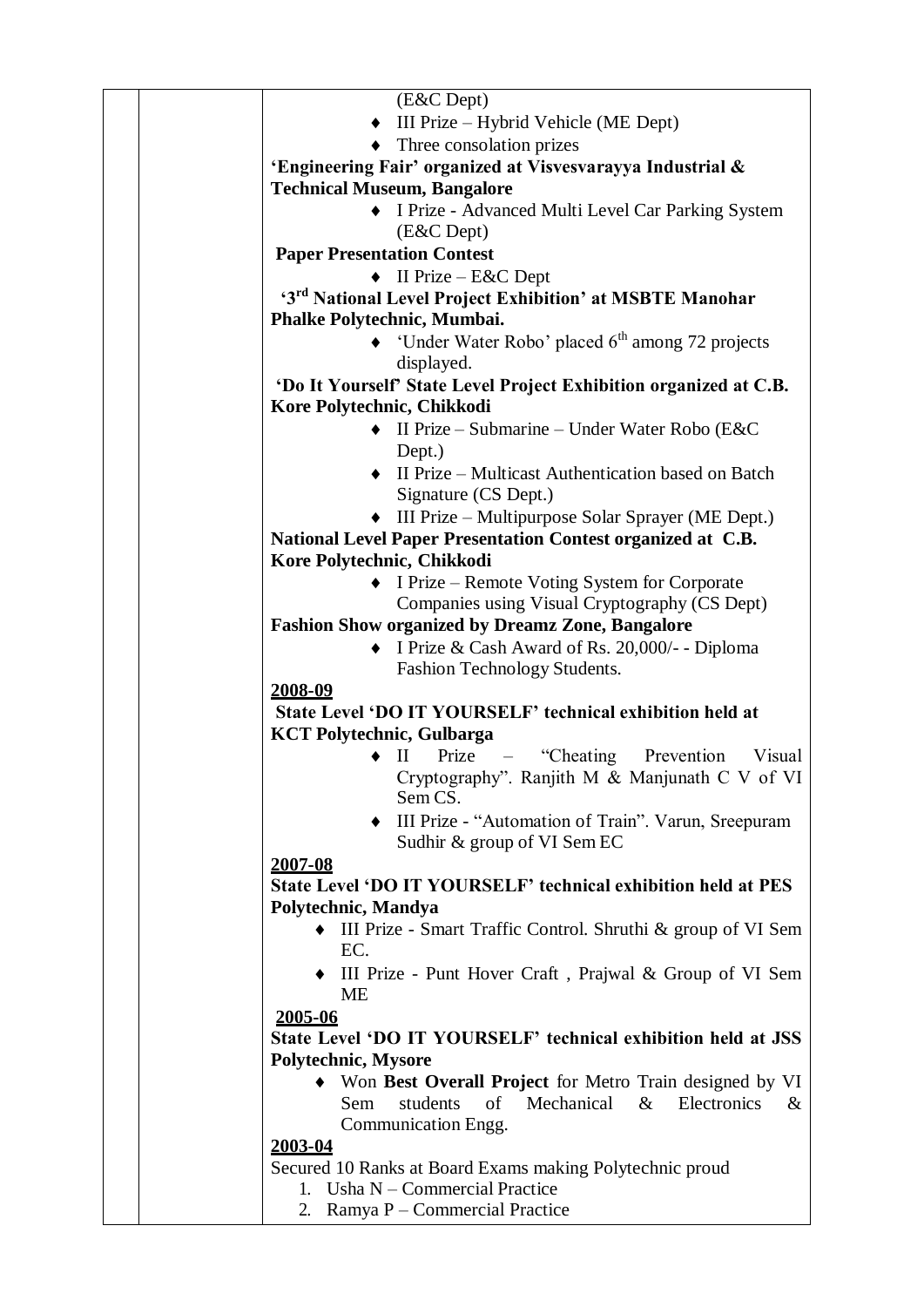| (E&C Dept)<br>$\bullet$ III Prize – Hybrid Vehicle (ME Dept)<br>$\bullet$ Three consolation prizes<br>'Engineering Fair' organized at Visvesvarayya Industrial &<br><b>Technical Museum, Bangalore</b><br>• I Prize - Advanced Multi Level Car Parking System<br>(E&C Dept)<br><b>Paper Presentation Contest</b><br>$\bullet$ II Prize – E&C Dept<br>'3 <sup>rd</sup> National Level Project Exhibition' at MSBTE Manohar<br>Phalke Polytechnic, Mumbai.<br>'Under Water Robo' placed 6 <sup>th</sup> among 72 projects<br>displayed.<br>'Do It Yourself' State Level Project Exhibition organized at C.B.<br>Kore Polytechnic, Chikkodi<br>II Prize – Submarine – Under Water Robo (E&C)<br>$\bullet$<br>Dept.)<br>• II Prize – Multicast Authentication based on Batch<br>Signature (CS Dept.)<br>$\bullet$ III Prize – Multipurpose Solar Sprayer (ME Dept.)<br>National Level Paper Presentation Contest organized at C.B.<br>Kore Polytechnic, Chikkodi<br>• I Prize – Remote Voting System for Corporate<br>Companies using Visual Cryptography (CS Dept)<br><b>Fashion Show organized by Dreamz Zone, Bangalore</b><br>I Prize & Cash Award of Rs. 20,000/- - Diploma<br>Fashion Technology Students.<br>2008-09<br>State Level 'DO IT YOURSELF' technical exhibition held at<br><b>KCT Polytechnic, Gulbarga</b><br>Prize – "Cheating Prevention"<br>$\rm{II}$<br>Visual |      |
|----------------------------------------------------------------------------------------------------------------------------------------------------------------------------------------------------------------------------------------------------------------------------------------------------------------------------------------------------------------------------------------------------------------------------------------------------------------------------------------------------------------------------------------------------------------------------------------------------------------------------------------------------------------------------------------------------------------------------------------------------------------------------------------------------------------------------------------------------------------------------------------------------------------------------------------------------------------------------------------------------------------------------------------------------------------------------------------------------------------------------------------------------------------------------------------------------------------------------------------------------------------------------------------------------------------------------------------------------------------------------------|------|
|                                                                                                                                                                                                                                                                                                                                                                                                                                                                                                                                                                                                                                                                                                                                                                                                                                                                                                                                                                                                                                                                                                                                                                                                                                                                                                                                                                                  |      |
|                                                                                                                                                                                                                                                                                                                                                                                                                                                                                                                                                                                                                                                                                                                                                                                                                                                                                                                                                                                                                                                                                                                                                                                                                                                                                                                                                                                  |      |
|                                                                                                                                                                                                                                                                                                                                                                                                                                                                                                                                                                                                                                                                                                                                                                                                                                                                                                                                                                                                                                                                                                                                                                                                                                                                                                                                                                                  |      |
|                                                                                                                                                                                                                                                                                                                                                                                                                                                                                                                                                                                                                                                                                                                                                                                                                                                                                                                                                                                                                                                                                                                                                                                                                                                                                                                                                                                  |      |
|                                                                                                                                                                                                                                                                                                                                                                                                                                                                                                                                                                                                                                                                                                                                                                                                                                                                                                                                                                                                                                                                                                                                                                                                                                                                                                                                                                                  |      |
|                                                                                                                                                                                                                                                                                                                                                                                                                                                                                                                                                                                                                                                                                                                                                                                                                                                                                                                                                                                                                                                                                                                                                                                                                                                                                                                                                                                  |      |
|                                                                                                                                                                                                                                                                                                                                                                                                                                                                                                                                                                                                                                                                                                                                                                                                                                                                                                                                                                                                                                                                                                                                                                                                                                                                                                                                                                                  |      |
|                                                                                                                                                                                                                                                                                                                                                                                                                                                                                                                                                                                                                                                                                                                                                                                                                                                                                                                                                                                                                                                                                                                                                                                                                                                                                                                                                                                  |      |
|                                                                                                                                                                                                                                                                                                                                                                                                                                                                                                                                                                                                                                                                                                                                                                                                                                                                                                                                                                                                                                                                                                                                                                                                                                                                                                                                                                                  |      |
|                                                                                                                                                                                                                                                                                                                                                                                                                                                                                                                                                                                                                                                                                                                                                                                                                                                                                                                                                                                                                                                                                                                                                                                                                                                                                                                                                                                  |      |
|                                                                                                                                                                                                                                                                                                                                                                                                                                                                                                                                                                                                                                                                                                                                                                                                                                                                                                                                                                                                                                                                                                                                                                                                                                                                                                                                                                                  |      |
|                                                                                                                                                                                                                                                                                                                                                                                                                                                                                                                                                                                                                                                                                                                                                                                                                                                                                                                                                                                                                                                                                                                                                                                                                                                                                                                                                                                  |      |
|                                                                                                                                                                                                                                                                                                                                                                                                                                                                                                                                                                                                                                                                                                                                                                                                                                                                                                                                                                                                                                                                                                                                                                                                                                                                                                                                                                                  |      |
|                                                                                                                                                                                                                                                                                                                                                                                                                                                                                                                                                                                                                                                                                                                                                                                                                                                                                                                                                                                                                                                                                                                                                                                                                                                                                                                                                                                  |      |
|                                                                                                                                                                                                                                                                                                                                                                                                                                                                                                                                                                                                                                                                                                                                                                                                                                                                                                                                                                                                                                                                                                                                                                                                                                                                                                                                                                                  |      |
|                                                                                                                                                                                                                                                                                                                                                                                                                                                                                                                                                                                                                                                                                                                                                                                                                                                                                                                                                                                                                                                                                                                                                                                                                                                                                                                                                                                  |      |
|                                                                                                                                                                                                                                                                                                                                                                                                                                                                                                                                                                                                                                                                                                                                                                                                                                                                                                                                                                                                                                                                                                                                                                                                                                                                                                                                                                                  |      |
|                                                                                                                                                                                                                                                                                                                                                                                                                                                                                                                                                                                                                                                                                                                                                                                                                                                                                                                                                                                                                                                                                                                                                                                                                                                                                                                                                                                  |      |
|                                                                                                                                                                                                                                                                                                                                                                                                                                                                                                                                                                                                                                                                                                                                                                                                                                                                                                                                                                                                                                                                                                                                                                                                                                                                                                                                                                                  |      |
|                                                                                                                                                                                                                                                                                                                                                                                                                                                                                                                                                                                                                                                                                                                                                                                                                                                                                                                                                                                                                                                                                                                                                                                                                                                                                                                                                                                  |      |
|                                                                                                                                                                                                                                                                                                                                                                                                                                                                                                                                                                                                                                                                                                                                                                                                                                                                                                                                                                                                                                                                                                                                                                                                                                                                                                                                                                                  |      |
|                                                                                                                                                                                                                                                                                                                                                                                                                                                                                                                                                                                                                                                                                                                                                                                                                                                                                                                                                                                                                                                                                                                                                                                                                                                                                                                                                                                  |      |
|                                                                                                                                                                                                                                                                                                                                                                                                                                                                                                                                                                                                                                                                                                                                                                                                                                                                                                                                                                                                                                                                                                                                                                                                                                                                                                                                                                                  |      |
|                                                                                                                                                                                                                                                                                                                                                                                                                                                                                                                                                                                                                                                                                                                                                                                                                                                                                                                                                                                                                                                                                                                                                                                                                                                                                                                                                                                  |      |
|                                                                                                                                                                                                                                                                                                                                                                                                                                                                                                                                                                                                                                                                                                                                                                                                                                                                                                                                                                                                                                                                                                                                                                                                                                                                                                                                                                                  |      |
|                                                                                                                                                                                                                                                                                                                                                                                                                                                                                                                                                                                                                                                                                                                                                                                                                                                                                                                                                                                                                                                                                                                                                                                                                                                                                                                                                                                  |      |
|                                                                                                                                                                                                                                                                                                                                                                                                                                                                                                                                                                                                                                                                                                                                                                                                                                                                                                                                                                                                                                                                                                                                                                                                                                                                                                                                                                                  |      |
|                                                                                                                                                                                                                                                                                                                                                                                                                                                                                                                                                                                                                                                                                                                                                                                                                                                                                                                                                                                                                                                                                                                                                                                                                                                                                                                                                                                  |      |
|                                                                                                                                                                                                                                                                                                                                                                                                                                                                                                                                                                                                                                                                                                                                                                                                                                                                                                                                                                                                                                                                                                                                                                                                                                                                                                                                                                                  |      |
|                                                                                                                                                                                                                                                                                                                                                                                                                                                                                                                                                                                                                                                                                                                                                                                                                                                                                                                                                                                                                                                                                                                                                                                                                                                                                                                                                                                  |      |
|                                                                                                                                                                                                                                                                                                                                                                                                                                                                                                                                                                                                                                                                                                                                                                                                                                                                                                                                                                                                                                                                                                                                                                                                                                                                                                                                                                                  |      |
|                                                                                                                                                                                                                                                                                                                                                                                                                                                                                                                                                                                                                                                                                                                                                                                                                                                                                                                                                                                                                                                                                                                                                                                                                                                                                                                                                                                  |      |
| Cryptography". Ranjith M & Manjunath C V of VI                                                                                                                                                                                                                                                                                                                                                                                                                                                                                                                                                                                                                                                                                                                                                                                                                                                                                                                                                                                                                                                                                                                                                                                                                                                                                                                                   |      |
| Sem CS.                                                                                                                                                                                                                                                                                                                                                                                                                                                                                                                                                                                                                                                                                                                                                                                                                                                                                                                                                                                                                                                                                                                                                                                                                                                                                                                                                                          |      |
| III Prize - "Automation of Train". Varun, Sreepuram                                                                                                                                                                                                                                                                                                                                                                                                                                                                                                                                                                                                                                                                                                                                                                                                                                                                                                                                                                                                                                                                                                                                                                                                                                                                                                                              |      |
| Sudhir & group of VI Sem EC                                                                                                                                                                                                                                                                                                                                                                                                                                                                                                                                                                                                                                                                                                                                                                                                                                                                                                                                                                                                                                                                                                                                                                                                                                                                                                                                                      |      |
| 2007-08                                                                                                                                                                                                                                                                                                                                                                                                                                                                                                                                                                                                                                                                                                                                                                                                                                                                                                                                                                                                                                                                                                                                                                                                                                                                                                                                                                          |      |
| State Level 'DO IT YOURSELF' technical exhibition held at PES                                                                                                                                                                                                                                                                                                                                                                                                                                                                                                                                                                                                                                                                                                                                                                                                                                                                                                                                                                                                                                                                                                                                                                                                                                                                                                                    |      |
| Polytechnic, Mandya                                                                                                                                                                                                                                                                                                                                                                                                                                                                                                                                                                                                                                                                                                                                                                                                                                                                                                                                                                                                                                                                                                                                                                                                                                                                                                                                                              |      |
| • III Prize - Smart Traffic Control. Shruthi & group of VI Sem                                                                                                                                                                                                                                                                                                                                                                                                                                                                                                                                                                                                                                                                                                                                                                                                                                                                                                                                                                                                                                                                                                                                                                                                                                                                                                                   |      |
| EC.                                                                                                                                                                                                                                                                                                                                                                                                                                                                                                                                                                                                                                                                                                                                                                                                                                                                                                                                                                                                                                                                                                                                                                                                                                                                                                                                                                              |      |
| III Prize - Punt Hover Craft, Prajwal & Group of VI Sem                                                                                                                                                                                                                                                                                                                                                                                                                                                                                                                                                                                                                                                                                                                                                                                                                                                                                                                                                                                                                                                                                                                                                                                                                                                                                                                          |      |
| <b>ME</b>                                                                                                                                                                                                                                                                                                                                                                                                                                                                                                                                                                                                                                                                                                                                                                                                                                                                                                                                                                                                                                                                                                                                                                                                                                                                                                                                                                        |      |
| 2005-06                                                                                                                                                                                                                                                                                                                                                                                                                                                                                                                                                                                                                                                                                                                                                                                                                                                                                                                                                                                                                                                                                                                                                                                                                                                                                                                                                                          |      |
| State Level 'DO IT YOURSELF' technical exhibition held at JSS                                                                                                                                                                                                                                                                                                                                                                                                                                                                                                                                                                                                                                                                                                                                                                                                                                                                                                                                                                                                                                                                                                                                                                                                                                                                                                                    |      |
| <b>Polytechnic, Mysore</b>                                                                                                                                                                                                                                                                                                                                                                                                                                                                                                                                                                                                                                                                                                                                                                                                                                                                                                                                                                                                                                                                                                                                                                                                                                                                                                                                                       |      |
| Won Best Overall Project for Metro Train designed by VI                                                                                                                                                                                                                                                                                                                                                                                                                                                                                                                                                                                                                                                                                                                                                                                                                                                                                                                                                                                                                                                                                                                                                                                                                                                                                                                          |      |
| students<br>of<br>Mechanical & Electronics<br>Sem                                                                                                                                                                                                                                                                                                                                                                                                                                                                                                                                                                                                                                                                                                                                                                                                                                                                                                                                                                                                                                                                                                                                                                                                                                                                                                                                | $\&$ |
| Communication Engg.                                                                                                                                                                                                                                                                                                                                                                                                                                                                                                                                                                                                                                                                                                                                                                                                                                                                                                                                                                                                                                                                                                                                                                                                                                                                                                                                                              |      |
| <u>2003-04</u>                                                                                                                                                                                                                                                                                                                                                                                                                                                                                                                                                                                                                                                                                                                                                                                                                                                                                                                                                                                                                                                                                                                                                                                                                                                                                                                                                                   |      |
| Secured 10 Ranks at Board Exams making Polytechnic proud                                                                                                                                                                                                                                                                                                                                                                                                                                                                                                                                                                                                                                                                                                                                                                                                                                                                                                                                                                                                                                                                                                                                                                                                                                                                                                                         |      |
| Usha N - Commercial Practice<br>1.                                                                                                                                                                                                                                                                                                                                                                                                                                                                                                                                                                                                                                                                                                                                                                                                                                                                                                                                                                                                                                                                                                                                                                                                                                                                                                                                               |      |
| Ramya P - Commercial Practice<br>2.                                                                                                                                                                                                                                                                                                                                                                                                                                                                                                                                                                                                                                                                                                                                                                                                                                                                                                                                                                                                                                                                                                                                                                                                                                                                                                                                              |      |